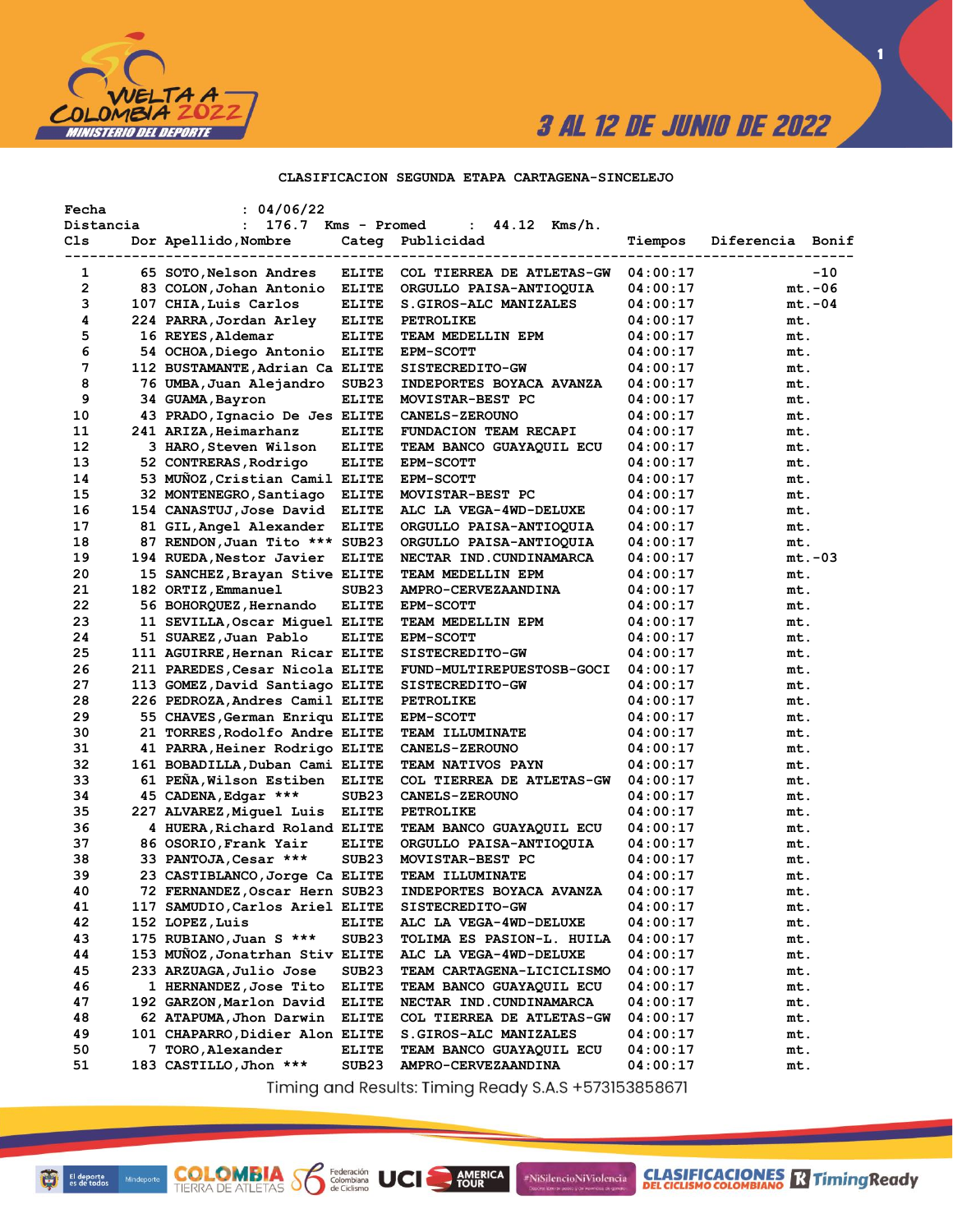

 $\blacksquare$ 

### CLASIFICACION SEGUNDA ETAPA CARTAGENA-SINCELEJO

| Fecha     | : 04/06/22                      |                   |                                  |          |                  |          |
|-----------|---------------------------------|-------------------|----------------------------------|----------|------------------|----------|
| Distancia | 176.7<br>$\mathbf{L}$           | Kms - Promed      | 44.12 Kms/h.<br>$\mathbf{L}$     |          |                  |          |
| Cls       | Dor Apellido, Nombre            |                   | Categ Publicidad                 | Tiempos  | Diferencia Bonif |          |
| 1         | 65 SOTO, Nelson Andres          | <b>ELITE</b>      | COL TIERREA DE ATLETAS-GW        | 04:00:17 |                  | -10      |
| 2         | 83 COLON, Johan Antonio         | <b>ELITE</b>      | ORGULLO PAISA-ANTIOQUIA          | 04:00:17 |                  | $mt.-06$ |
| з         | 107 CHIA, Luis Carlos           | <b>ELITE</b>      | S.GIROS-ALC MANIZALES            | 04:00:17 |                  | $mt.-04$ |
| 4         | 224 PARRA, Jordan Arley         | <b>ELITE</b>      | <b>PETROLIKE</b>                 | 04:00:17 | mt.              |          |
| 5         | 16 REYES, Aldemar               | <b>ELITE</b>      | TEAM MEDELLIN EPM                | 04:00:17 | mt.              |          |
| 6         | 54 OCHOA,Diego Antonio          | <b>ELITE</b>      | <b>EPM-SCOTT</b>                 | 04:00:17 | mt.              |          |
| 7         | 112 BUSTAMANTE, Adrian Ca ELITE |                   | SISTECREDITO-GW                  | 04:00:17 | mt.              |          |
| 8         | 76 UMBA, Juan Alejandro         | SUB23             | INDEPORTES BOYACA AVANZA         | 04:00:17 | mt.              |          |
| 9         | 34 GUAMA, Bayron                | <b>ELITE</b>      | MOVISTAR-BEST PC                 | 04:00:17 | mt.              |          |
| 10        | 43 PRADO, Ignacio De Jes ELITE  |                   | <b>CANELS-ZEROUNO</b>            | 04:00:17 | mt.              |          |
| 11        | 241 ARIZA, Heimarhanz           | <b>ELITE</b>      | FUNDACION TEAM RECAPI            | 04:00:17 | mt.              |          |
| 12        | 3 HARO, Steven Wilson           | <b>ELITE</b>      | TEAM BANCO GUAYAQUIL ECU         | 04:00:17 | mt.              |          |
| 13        | 52 CONTRERAS, Rodrigo           | <b>ELITE</b>      | <b>EPM-SCOTT</b>                 | 04:00:17 | mt.              |          |
| 14        | 53 MUNOZ, Cristian Camil ELITE  |                   | <b>EPM-SCOTT</b>                 | 04:00:17 | mt.              |          |
| 15        | 32 MONTENEGRO, Santiago         | ELITE             | MOVISTAR-BEST PC                 | 04:00:17 | mt.              |          |
| 16        | 154 CANASTUJ, Jose David ELITE  |                   | ALC LA VEGA-4WD-DELUXE           | 04:00:17 | mt.              |          |
| 17        | 81 GIL, Angel Alexander         | ELITE             | ORGULLO PAISA-ANTIOQUIA          | 04:00:17 | mt.              |          |
| 18        | 87 RENDON, Juan Tito *** SUB23  |                   | ORGULLO PAISA-ANTIOQUIA          | 04:00:17 | mt.              |          |
| 19        | 194 RUEDA, Nestor Javier        | <b>ELITE</b>      | NECTAR IND.CUNDINAMARCA          | 04:00:17 |                  | $mt.-03$ |
| 20        | 15 SANCHEZ, Brayan Stive ELITE  |                   | TEAM MEDELLIN EPM                | 04:00:17 | mt.              |          |
| 21        | 182 ORTIZ, Emmanuel             | SUB <sub>23</sub> | AMPRO-CERVEZAANDINA              | 04:00:17 | mt.              |          |
| 22        | 56 BOHORQUEZ, Hernando          | <b>ELITE</b>      | <b>EPM-SCOTT</b>                 | 04:00:17 | mt.              |          |
| 23        | 11 SEVILLA, Oscar Miquel ELITE  |                   | TEAM MEDELLIN EPM                | 04:00:17 | mt.              |          |
| 24        | 51 SUAREZ, Juan Pablo           | <b>ELITE</b>      | <b>EPM-SCOTT</b>                 | 04:00:17 | mt.              |          |
| 25        | 111 AGUIRRE, Hernan Ricar ELITE |                   | SISTECREDITO-GW                  | 04:00:17 | mt.              |          |
| 26        | 211 PAREDES, Cesar Nicola ELITE |                   | FUND-MULTIREPUESTOSB-GOCI        | 04:00:17 | mt.              |          |
| 27        | 113 GOMEZ, David Santiago ELITE |                   | SISTECREDITO-GW                  | 04:00:17 | mt.              |          |
| 28        | 226 PEDROZA, Andres Camil ELITE |                   | <b>PETROLIKE</b>                 | 04:00:17 | mt.              |          |
| 29        | 55 CHAVES, German Enriqu ELITE  |                   | <b>EPM-SCOTT</b>                 | 04:00:17 | mt.              |          |
| 30        | 21 TORRES, Rodolfo Andre ELITE  |                   | TEAM ILLUMINATE                  | 04:00:17 | mt.              |          |
| 31        | 41 PARRA, Heiner Rodrigo ELITE  |                   | <b>CANELS-ZEROUNO</b>            | 04:00:17 | mt.              |          |
| 32        | 161 BOBADILLA, Duban Cami ELITE |                   | TEAM NATIVOS PAYN                | 04:00:17 | mt.              |          |
| 33        | 61 PEÑA, Wilson Estiben ELITE   |                   | COL TIERREA DE ATLETAS-GW        | 04:00:17 | mt.              |          |
| 34        | 45 CADENA, Edgar ***            | SUB <sub>23</sub> | <b>CANELS-ZEROUNO</b>            | 04:00:17 | mt.              |          |
| 35        | 227 ALVAREZ, Miquel Luis ELITE  |                   | <b>PETROLIKE</b>                 | 04:00:17 | mt.              |          |
| 36        | 4 HUERA, Richard Roland ELITE   |                   | TEAM BANCO GUAYAQUIL ECU         | 04:00:17 | mt.              |          |
| 37        | 86 OSORIO, Frank Yair           | <b>ELITE</b>      | ORGULLO PAISA-ANTIOQUIA          | 04:00:17 | mt.              |          |
| 38        | 33 PANTOJA, Cesar ***           | SUB <sub>23</sub> | MOVISTAR-BEST PC                 | 04:00:17 | mt.              |          |
| 39        | 23 CASTIBLANCO, Jorge Ca ELITE  |                   | TEAM ILLUMINATE                  | 04:00:17 | mt.              |          |
| 40        | 72 FERNANDEZ, Oscar Hern SUB23  |                   | INDEPORTES BOYACA AVANZA         | 04:00:17 | mt.              |          |
| 41        | 117 SAMUDIO,Carlos Ariel ELITE  |                   | SISTECREDITO-GW                  | 04:00:17 | mt.              |          |
| 42        | 152 LOPEZ, Luis                 | ELITE             | ALC LA VEGA-4WD-DELUXE           | 04:00:17 | mt.              |          |
| 43        | 175 RUBIANO, Juan S ***         | SUB23             | <b>TOLIMA ES PASION-L. HUILA</b> | 04:00:17 | mt.              |          |
| 44        | 153 MUNOZ, Jonatrhan Stiv ELITE |                   | ALC LA VEGA-4WD-DELUXE           | 04:00:17 | mt.              |          |
| 45        | 233 ARZUAGA, Julio Jose         | SUB23             | TEAM CARTAGENA-LICICLISMO        | 04:00:17 | mt.              |          |
| 46        | 1 HERNANDEZ, Jose Tito          | <b>ELITE</b>      | TEAM BANCO GUAYAQUIL ECU         | 04:00:17 | mt.              |          |
| 47        | 192 GARZON, Marlon David        | <b>ELITE</b>      | NECTAR IND. CUNDINAMARCA         | 04:00:17 | mt.              |          |
| 48        | 62 ATAPUMA, Jhon Darwin         | <b>ELITE</b>      | COL TIERREA DE ATLETAS-GW        | 04:00:17 | mt.              |          |
| 49        | 101 CHAPARRO, Didier Alon ELITE |                   | S.GIROS-ALC MANIZALES            | 04:00:17 | mt.              |          |
| 50        | 7 TORO, Alexander               | <b>ELITE</b>      | TEAM BANCO GUAYAQUIL ECU         | 04:00:17 | mt.              |          |
| 51        | 183 CASTILLO, Jhon ***          | SUB <sub>23</sub> | AMPRO-CERVEZAANDINA              | 04:00:17 | mt.              |          |
|           |                                 |                   |                                  |          |                  |          |

Timing and Results: Timing Ready S.A.S +573153858671

AMERICA

#NiSilencioNiViolencia

**COLOMBIA S6** 

Federación<br>Colombiana<br>de Ciclismo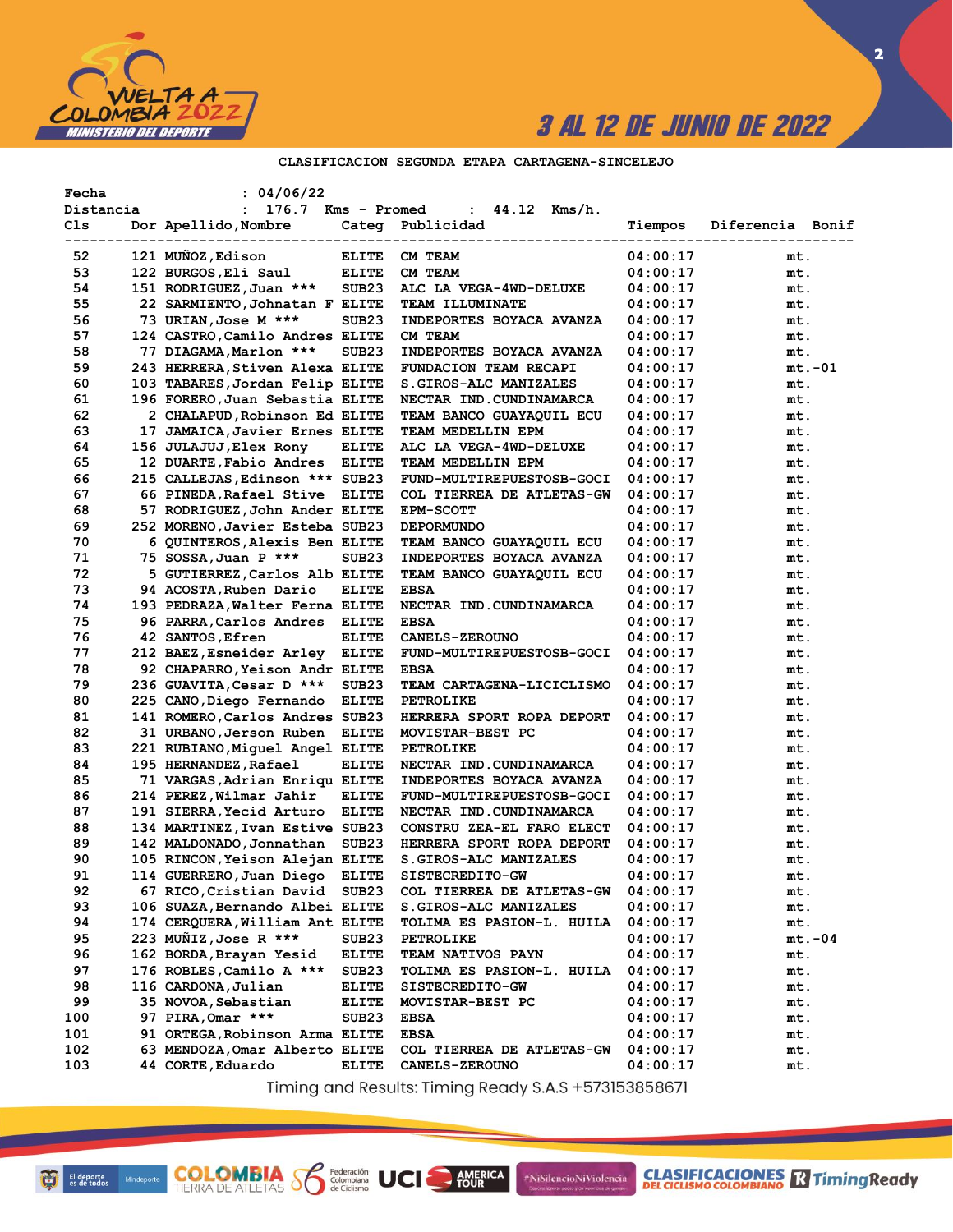

 $\overline{\mathbf{2}}$ 

## CLASIFICACION SEGUNDA ETAPA CARTAGENA-SINCELEJO

| Fecha     |             | : 04/06/22                                      |                   |                                  |          |                  |
|-----------|-------------|-------------------------------------------------|-------------------|----------------------------------|----------|------------------|
| Distancia |             | 176.7 Kms - Promed<br>$\mathbf{L}$              |                   | : $44.12$ Kms/h.                 |          |                  |
| Cls       | ----------- | Dor Apellido, Nombre<br>----------------------- |                   | Categ Publicidad                 | Tiempos  | Diferencia Bonif |
| 52        |             | 121 MUÑOZ, Edison                               | <b>ELITE</b>      | CM TEAM                          | 04:00:17 | mt.              |
| 53        |             | 122 BURGOS, Eli Saul                            | <b>ELITE</b>      | CM TEAM                          | 04:00:17 | mt.              |
| 54        |             | 151 RODRIGUEZ, Juan ***                         | SUB <sub>23</sub> | ALC LA VEGA-4WD-DELUXE           | 04:00:17 | mt.              |
| 55        |             | 22 SARMIENTO, Johnatan F ELITE                  |                   | <b>TEAM ILLUMINATE</b>           | 04:00:17 | mt.              |
| 56        |             | 73 URIAN, Jose M ***                            | SUB <sub>23</sub> | INDEPORTES BOYACA AVANZA         | 04:00:17 | mt.              |
| 57        |             | 124 CASTRO, Camilo Andres ELITE                 |                   | CM TEAM                          | 04:00:17 | mt.              |
| 58        |             | 77 DIAGAMA, Marlon ***                          | SUB <sub>23</sub> | INDEPORTES BOYACA AVANZA         | 04:00:17 | mt.              |
| 59        |             | 243 HERRERA, Stiven Alexa ELITE                 |                   | FUNDACION TEAM RECAPI            | 04:00:17 | mt.-01           |
| 60        |             | 103 TABARES, Jordan Felip ELITE                 |                   | S.GIROS-ALC MANIZALES            | 04:00:17 | mt.              |
| 61        |             | 196 FORERO, Juan Sebastia ELITE                 |                   | NECTAR IND. CUNDINAMARCA         | 04:00:17 | mt.              |
| 62        |             | 2 CHALAPUD, Robinson Ed ELITE                   |                   | TEAM BANCO GUAYAQUIL ECU         | 04:00:17 | mt.              |
| 63        |             | 17 JAMAICA, Javier Ernes ELITE                  |                   | TEAM MEDELLIN EPM                | 04:00:17 | mt.              |
| 64        |             | 156 JULAJUJ,Elex Rony                           | <b>ELITE</b>      | ALC LA VEGA-4WD-DELUXE           | 04:00:17 | mt.              |
| 65        |             | 12 DUARTE, Fabio Andres ELITE                   |                   | TEAM MEDELLIN EPM                | 04:00:17 | mt.              |
| 66        |             | 215 CALLEJAS, Edinson *** SUB23                 |                   | FUND-MULTIREPUESTOSB-GOCI        | 04:00:17 | mt.              |
| 67        |             | 66 PINEDA, Rafael Stive ELITE                   |                   | COL TIERREA DE ATLETAS-GW        | 04:00:17 | mt.              |
| 68        |             | 57 RODRIGUEZ, John Ander ELITE                  |                   | <b>EPM-SCOTT</b>                 | 04:00:17 | mt.              |
| 69        |             | 252 MORENO, Javier Esteba SUB23                 |                   | <b>DEPORMUNDO</b>                | 04:00:17 | mt.              |
| 70        |             | 6 QUINTEROS, Alexis Ben ELITE                   |                   | TEAM BANCO GUAYAQUIL ECU         | 04:00:17 | mt.              |
| 71        |             | 75 SOSSA,Juan P ***                             | SUB <sub>23</sub> | INDEPORTES BOYACA AVANZA         | 04:00:17 | mt.              |
| 72        |             | 5 GUTIERREZ, Carlos Alb ELITE                   |                   | TEAM BANCO GUAYAQUIL ECU         | 04:00:17 | mt.              |
| 73        |             | 94 ACOSTA, Ruben Dario                          | <b>ELITE</b>      | <b>EBSA</b>                      | 04:00:17 | mt.              |
| 74        |             | 193 PEDRAZA, Walter Ferna ELITE                 |                   | NECTAR IND. CUNDINAMARCA         | 04:00:17 | mt.              |
| 75        |             | 96 PARRA, Carlos Andres ELITE                   |                   | <b>EBSA</b>                      | 04:00:17 | mt.              |
| 76        |             | 42 SANTOS, Efren                                | <b>ELITE</b>      | <b>CANELS-ZEROUNO</b>            | 04:00:17 | mt.              |
| 77        |             | 212 BAEZ, Esneider Arley ELITE                  |                   | FUND-MULTIREPUESTOSB-GOCI        | 04:00:17 | mt.              |
| 78        |             | 92 CHAPARRO, Yeison Andr ELITE                  |                   | <b>EBSA</b>                      | 04:00:17 | mt.              |
| 79        |             | 236 GUAVITA, Cesar D ***                        | SUB <sub>23</sub> | TEAM CARTAGENA-LICICLISMO        | 04:00:17 | mt.              |
| 80        |             | 225 CANO, Diego Fernando                        | ELITE             | <b>PETROLIKE</b>                 | 04:00:17 | mt.              |
| 81        |             | 141 ROMERO, Carlos Andres SUB23                 |                   | HERRERA SPORT ROPA DEPORT        | 04:00:17 | mt.              |
| 82        |             | 31 URBANO, Jerson Ruben ELITE                   |                   | MOVISTAR-BEST PC                 | 04:00:17 | mt.              |
| 83        |             | 221 RUBIANO, Miquel Angel ELITE                 |                   | <b>PETROLIKE</b>                 | 04:00:17 | mt.              |
| 84        |             | 195 HERNANDEZ, Rafael                           | <b>ELITE</b>      | NECTAR IND.CUNDINAMARCA          | 04:00:17 | mt.              |
| 85        |             | 71 VARGAS, Adrian Enriqu ELITE                  |                   | INDEPORTES BOYACA AVANZA         | 04:00:17 | mt.              |
| 86        |             | 214 PEREZ, Wilmar Jahir                         | <b>ELITE</b>      | FUND-MULTIREPUESTOSB-GOCI        | 04:00:17 | mt.              |
| 87        |             | 191 SIERRA, Yecid Arturo                        | <b>ELITE</b>      | NECTAR IND. CUNDINAMARCA         | 04:00:17 | mt.              |
| 88        |             | 134 MARTINEZ, Ivan Estive SUB23                 |                   | CONSTRU ZEA-EL FARO ELECT        | 04:00:17 | mt.              |
| 89        |             | 142 MALDONADO, Jonnathan                        | SUB23             | HERRERA SPORT ROPA DEPORT        | 04:00:17 | mt.              |
| 90        |             | 105 RINCON, Yeison Alejan ELITE                 |                   | S.GIROS-ALC MANIZALES            | 04:00:17 | mt.              |
| 91        |             | 114 GUERRERO, Juan Diego                        | <b>ELITE</b>      | SISTECREDITO-GW                  | 04:00:17 | mt.              |
| 92        |             | 67 RICO, Cristian David                         | SUB <sub>23</sub> | COL TIERREA DE ATLETAS-GW        | 04:00:17 | mt.              |
| 93        |             | 106 SUAZA, Bernando Albei ELITE                 |                   | S.GIROS-ALC MANIZALES            | 04:00:17 | mt.              |
| 94        |             | 174 CERQUERA, William Ant ELITE                 |                   | TOLIMA ES PASION-L. HUILA        | 04:00:17 | mt.              |
| 95        |             | 223 MUNIZ, Jose R ***                           | SUB23             | <b>PETROLIKE</b>                 | 04:00:17 | $mt.-04$         |
| 96        |             | 162 BORDA, Brayan Yesid                         | ELITE             | <b>TEAM NATIVOS PAYN</b>         | 04:00:17 | mt.              |
| 97        |             | 176 ROBLES, Camilo A ***                        | SUB23             | <b>TOLIMA ES PASION-L. HUILA</b> | 04:00:17 | mt.              |
| 98        |             | 116 CARDONA, Julian                             | ELITE             | SISTECREDITO-GW                  | 04:00:17 | mt.              |
| 99        |             | 35 NOVOA, Sebastian                             | <b>ELITE</b>      | MOVISTAR-BEST PC                 | 04:00:17 | mt.              |
| 100       |             | 97 PIRA, Omar ***                               | SUB23             | EBSA                             | 04:00:17 | mt.              |
| 101       |             | 91 ORTEGA, Robinson Arma ELITE                  |                   | <b>EBSA</b>                      | 04:00:17 | mt.              |
| 102       |             | 63 MENDOZA, Omar Alberto ELITE                  |                   | COL TIERREA DE ATLETAS-GW        | 04:00:17 | mt.              |
| 103       |             | 44 CORTE, Eduardo                               | <b>ELITE</b>      | <b>CANELS-ZEROUNO</b>            | 04:00:17 | mt.              |

Timing and Results: Timing Ready S.A.S +573153858671

AMERICA

#NiSilencioNiViolencia

Federación<br>Colombiana<br>de Ciclismo

UCI

**COLOMBIA S**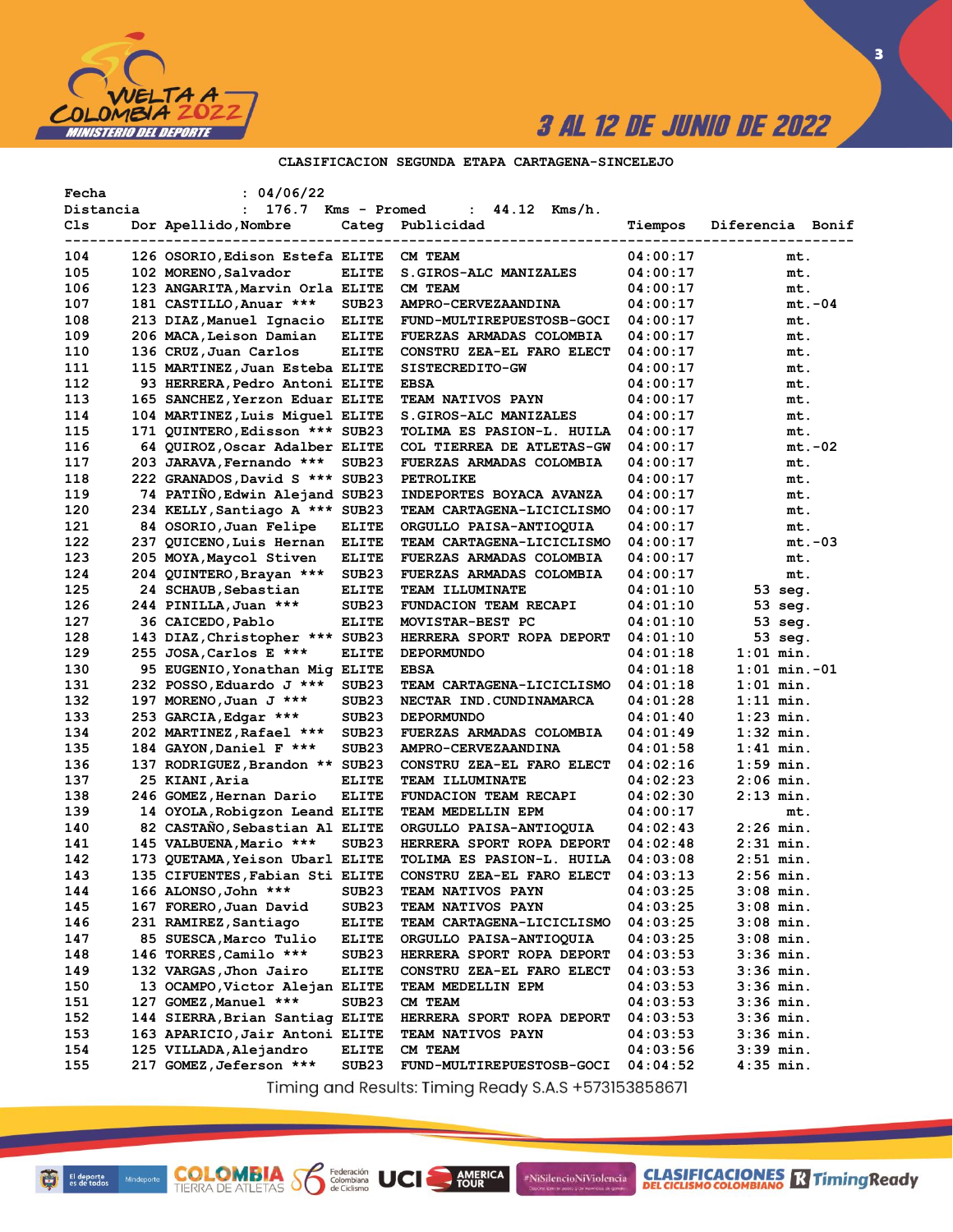

 $\overline{\mathbf{3}}$ 

## CLASIFICACION SEGUNDA ETAPA CARTAGENA-SINCELEJO

| Fecha<br>Distancia       | : 04/06/22<br>$\mathbf{L}$<br>176.7 Kms - Promed          |                   | : $44.12$ Kms/h.                                      |                      |                  |
|--------------------------|-----------------------------------------------------------|-------------------|-------------------------------------------------------|----------------------|------------------|
| Cls                      | Dor Apellido, Nombre                                      |                   | Categ Publicidad                                      | Tiempos              | Diferencia Bonif |
| -----------------<br>104 | 126 OSORIO, Edison Estefa ELITE                           |                   | ------------------------<br>CM TEAM                   | 04:00:17             | mt.              |
| 105                      | 102 MORENO, Salvador                                      | <b>ELITE</b>      | S. GIROS-ALC MANIZALES                                | 04:00:17             | mt.              |
| 106                      | 123 ANGARITA, Marvin Orla ELITE                           |                   | CM TEAM                                               | 04:00:17             | mt.              |
| 107                      | 181 CASTILLO, Anuar ***                                   | SUB <sub>23</sub> | AMPRO-CERVEZAANDINA                                   | 04:00:17             | $mt.-04$         |
| 108                      |                                                           |                   |                                                       | 04:00:17             | mt.              |
| 109                      | 213 DIAZ, Manuel Ignacio ELITE<br>206 MACA, Leison Damian | <b>ELITE</b>      | FUND-MULTIREPUESTOSB-GOCI<br>FUERZAS ARMADAS COLOMBIA | 04:00:17             |                  |
|                          |                                                           |                   | CONSTRU ZEA-EL FARO ELECT                             |                      | mt.              |
| 110<br>111               | 136 CRUZ, Juan Carlos<br>115 MARTINEZ, Juan Esteba ELITE  | <b>ELITE</b>      | SISTECREDITO-GW                                       | 04:00:17<br>04:00:17 | mt.              |
| 112                      | 93 HERRERA, Pedro Antoni ELITE                            |                   | <b>EBSA</b>                                           | 04:00:17             | mt.<br>mt.       |
| 113                      | 165 SANCHEZ, Yerzon Eduar ELITE                           |                   | TEAM NATIVOS PAYN                                     | 04:00:17             | mt.              |
| 114                      | 104 MARTINEZ, Luis Miquel ELITE                           |                   | S.GIROS-ALC MANIZALES                                 | 04:00:17             | mt.              |
| 115                      | 171 QUINTERO, Edisson *** SUB23                           |                   | TOLIMA ES PASION-L. HUILA                             | 04:00:17             | mt.              |
| 116                      | 64 QUIROZ, Oscar Adalber ELITE                            |                   | COL TIERREA DE ATLETAS-GW                             | 04:00:17             | $mt.-02$         |
| 117                      | 203 JARAVA, Fernando ***                                  | SUB <sub>23</sub> | FUERZAS ARMADAS COLOMBIA                              | 04:00:17             | mt.              |
| 118                      | 222 GRANADOS, David S *** SUB23                           |                   | <b>PETROLIKE</b>                                      | 04:00:17             | mt.              |
| 119                      | 74 PATINO, Edwin Alejand SUB23                            |                   | INDEPORTES BOYACA AVANZA                              | 04:00:17             | mt.              |
| 120                      | 234 KELLY, Santiago A *** SUB23                           |                   | TEAM CARTAGENA-LICICLISMO                             | 04:00:17             | mt.              |
| 121                      | 84 OSORIO, Juan Felipe                                    | <b>ELITE</b>      | ORGULLO PAISA-ANTIOQUIA                               | 04:00:17             | mt.              |
| 122                      | 237 QUICENO, Luis Hernan                                  | <b>ELITE</b>      | TEAM CARTAGENA-LICICLISMO                             | 04:00:17             | $mt.-03$         |
| 123                      | 205 MOYA, Maycol Stiven                                   | <b>ELITE</b>      | FUERZAS ARMADAS COLOMBIA                              | 04:00:17             | mt.              |
| 124                      | 204 QUINTERO, Brayan ***                                  | SUB <sub>23</sub> | <b>FUERZAS ARMADAS COLOMBIA</b>                       | 04:00:17             | mt.              |
| 125                      | 24 SCHAUB, Sebastian                                      | <b>ELITE</b>      | TEAM ILLUMINATE                                       | 04:01:10             | 53 seg.          |
| 126                      | 244 PINILLA, Juan ***                                     | SUB <sub>23</sub> | FUNDACION TEAM RECAPI                                 | 04:01:10             | 53 seg.          |
| 127                      | 36 CAICEDO, Pablo                                         | <b>ELITE</b>      | MOVISTAR-BEST PC                                      | 04:01:10             | $53$ seq.        |
| 128                      | 143 DIAZ, Christopher *** SUB23                           |                   | HERRERA SPORT ROPA DEPORT                             | 04:01:10             | 53 seg.          |
| 129                      | 255 JOSA, Carlos E ***                                    | <b>ELITE</b>      | <b>DEPORMUNDO</b>                                     | 04:01:18             | $1:01$ min.      |
| 130                      | 95 EUGENIO, Yonathan Mig ELITE                            |                   | <b>EBSA</b>                                           | 04:01:18             | $1:01$ min.-01   |
| 131                      | 232 POSSO, Eduardo J ***                                  | SUB <sub>23</sub> | TEAM CARTAGENA-LICICLISMO                             | 04:01:18             | $1:01$ min.      |
| 132                      | 197 MORENO, Juan J ***                                    | SUB <sub>23</sub> | NECTAR IND. CUNDINAMARCA                              | 04:01:28             | $1:11$ min.      |
| 133                      | 253 GARCIA, Edgar ***                                     | SUB <sub>23</sub> | <b>DEPORMUNDO</b>                                     | 04:01:40             | 1:23 min.        |
| 134                      | 202 MARTINEZ, Rafael ***                                  | SUB <sub>23</sub> | FUERZAS ARMADAS COLOMBIA                              | 04:01:49             | $1:32$ min.      |
| 135                      | 184 GAYON, Daniel F ***                                   | SUB <sub>23</sub> | AMPRO-CERVEZAANDINA                                   | 04:01:58             | 1:41 min.        |
| 136                      | 137 RODRIGUEZ, Brandon ** SUB23                           |                   | CONSTRU ZEA-EL FARO ELECT                             | 04:02:16             | $1:59$ min.      |
| 137                      | 25 KIANI, Aria                                            | <b>ELITE</b>      | TEAM ILLUMINATE                                       | 04:02:23             | $2:06$ min.      |
| 138                      | 246 GOMEZ, Hernan Dario                                   | <b>ELITE</b>      | FUNDACION TEAM RECAPI                                 | 04:02:30             | $2:13$ min.      |
| 139                      | 14 OYOLA, Robigzon Leand ELITE                            |                   | TEAM MEDELLIN EPM                                     | 04:00:17             | mt.              |
| 140                      | 82 CASTAÑO, Sebastian Al ELITE                            |                   | ORGULLO PAISA-ANTIOQUIA                               | 04:02:43             | $2:26$ min.      |
| 141                      | 145 VALBUENA, Mario ***                                   | SUB <sub>23</sub> | HERRERA SPORT ROPA DEPORT                             | 04:02:48             | $2:31$ min.      |
| 142                      | 173 QUETAMA, Yeison Ubarl ELITE                           |                   | TOLIMA ES PASION-L. HUILA                             | 04:03:08             | $2:51$ min.      |
| 143                      | 135 CIFUENTES, Fabian Sti ELITE                           |                   | CONSTRU ZEA-EL FARO ELECT                             | 04:03:13             | $2:56$ min.      |
| 144                      | 166 ALONSO, John ***                                      | SUB <sub>23</sub> | TEAM NATIVOS PAYN                                     | 04:03:25             | $3:08$ min.      |
| 145                      | 167 FORERO, Juan David                                    | SUB <sub>23</sub> | TEAM NATIVOS PAYN                                     | 04:03:25             | $3:08$ min.      |
| 146                      | 231 RAMIREZ, Santiago                                     | <b>ELITE</b>      | TEAM CARTAGENA-LICICLISMO                             | 04:03:25             | $3:08$ min.      |
| 147                      | 85 SUESCA, Marco Tulio                                    | <b>ELITE</b>      | ORGULLO PAISA-ANTIOQUIA                               | 04:03:25             | $3:08$ min.      |
| 148                      | 146 TORRES, Camilo ***                                    | SUB <sub>23</sub> | HERRERA SPORT ROPA DEPORT                             | 04:03:53             | 3:36 min.        |
| 149                      | 132 VARGAS, Jhon Jairo                                    | <b>ELITE</b>      | CONSTRU ZEA-EL FARO ELECT                             | 04:03:53             | 3:36 min.        |
| 150                      | 13 OCAMPO, Victor Alejan ELITE                            |                   | TEAM MEDELLIN EPM                                     | 04:03:53             | $3:36$ min.      |
| 151                      | 127 GOMEZ, Manuel ***                                     | SUB <sub>23</sub> | CM TEAM                                               | 04:03:53             | $3:36$ min.      |
| 152                      | 144 SIERRA, Brian Santiag ELITE                           |                   | HERRERA SPORT ROPA DEPORT                             | 04:03:53             | $3:36$ min.      |
| 153                      | 163 APARICIO, Jair Antoni ELITE                           |                   | <b>TEAM NATIVOS PAYN</b>                              | 04:03:53             | 3:36 min.        |
| 154                      | 125 VILLADA, Alejandro                                    | <b>ELITE</b>      | CM TEAM                                               | 04:03:56             | 3:39 min.        |
| 155                      | 217 GOMEZ, Jeferson ***                                   | SUB <sub>23</sub> | FUND-MULTIREPUESTOSB-GOCI                             | 04:04:52             | $4:35$ min.      |

Timing and Results: Timing Ready S.A.S +573153858671

AMERICA

#NiSilencioNiViolencia

Federación<br>Colombiana<br>de Ciclismo

UCI

**COLOMBIA S**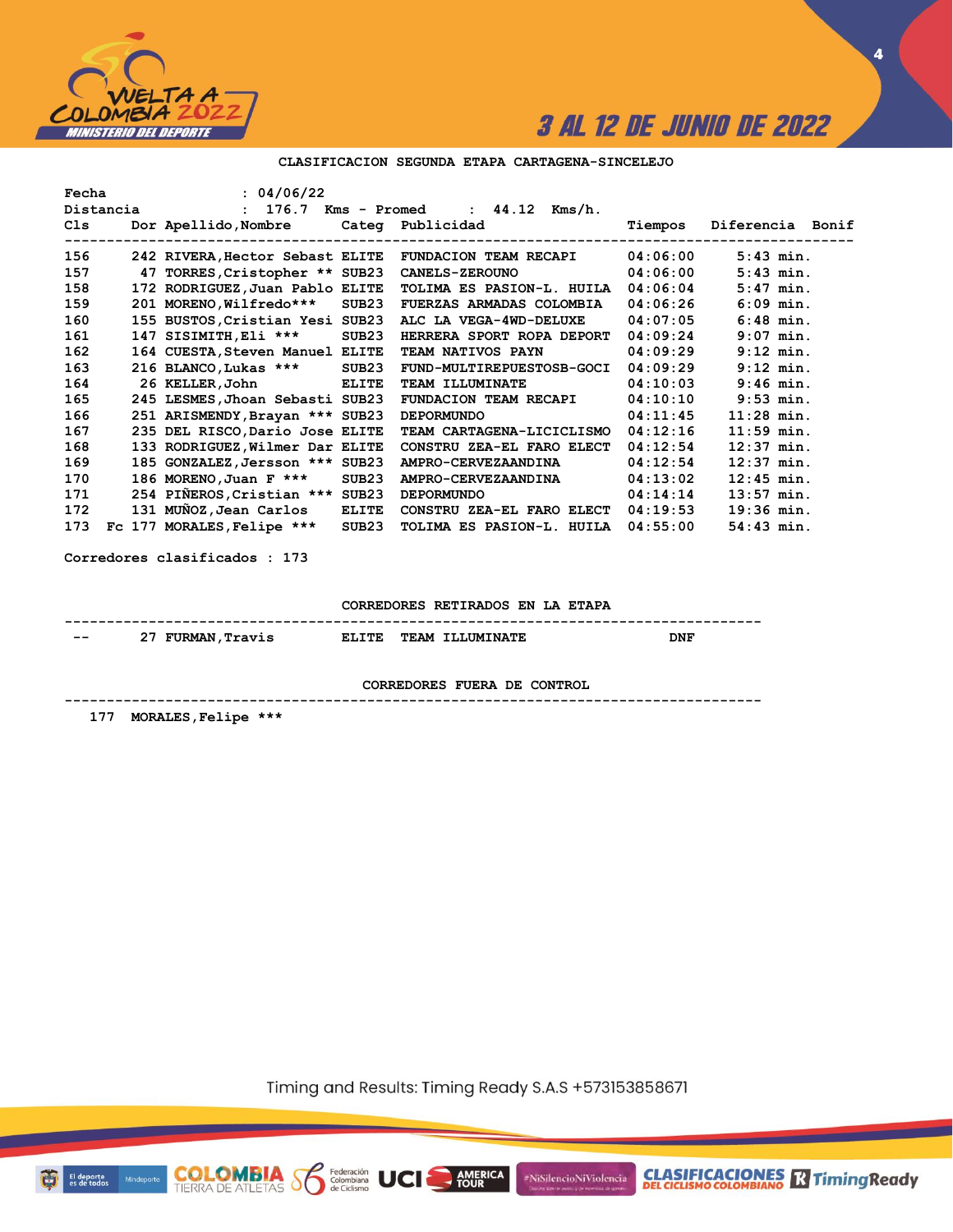

**4**

### **CLASIFICACION SEGUNDA ETAPA CARTAGENA-SINCELEJO**

| Fecha | : 04/06/22                      |                   | Distancia $: 176.7$ Kms - Promed $: 44.12$ Kms/h.    |          |                  |
|-------|---------------------------------|-------------------|------------------------------------------------------|----------|------------------|
| Cls   |                                 |                   | Dor Apellido, Nombre Categ Publicidad                | Tiempos  | Diferencia Bonif |
|       |                                 |                   |                                                      |          |                  |
| 156   |                                 |                   | 242 RIVERA,Hector Sebast ELITE FUNDACION TEAM RECAPI | 04:06:00 | $5:43$ min.      |
| 157   | 47 TORRES, Cristopher ** SUB23  |                   | 04:06:00<br><b>CANELS-ZEROUNO</b>                    |          | $5:43$ min.      |
| 158   | 172 RODRIGUEZ, Juan Pablo ELITE |                   | TOLIMA ES PASION-L. HUILA 04:06:04                   |          | $5:47$ min.      |
| 159   | 201 MORENO, Wilfredo*** SUB23   |                   | <b>FUERZAS ARMADAS COLOMBIA</b>                      | 04:06:26 | $6:09$ min.      |
| 160   | 155 BUSTOS, Cristian Yesi SUB23 |                   | ALC LA VEGA-4WD-DELUXE                               | 04:07:05 | $6:48$ min.      |
| 161   | 147 SISIMITH, Eli ***           | SUB23             | HERRERA SPORT ROPA DEPORT                            | 04:09:24 | $9:07$ min.      |
| 162   | 164 CUESTA, Steven Manuel ELITE |                   | TEAM NATIVOS PAYN                                    | 04:09:29 | $9:12$ min.      |
| 163   | 216 BLANCO, Lukas *** SUB23     |                   | FUND-MULTIREPUESTOSB-GOCI                            | 04:09:29 | $9:12$ min.      |
| 164   | 26 KELLER, John ELITE           |                   | <b>TEAM ILLUMINATE</b>                               | 04:10:03 | $9:46$ min.      |
| 165   | 245 LESMES, Jhoan Sebasti SUB23 |                   | <b>FUNDACION TEAM RECAPI</b>                         | 04:10:10 | $9:53$ min.      |
| 166   | 251 ARISMENDY, Brayan *** SUB23 |                   | <b>DEPORMUNDO</b>                                    | 04:11:45 | $11:28$ min.     |
| 167   | 235 DEL RISCO, Dario Jose ELITE |                   | TEAM CARTAGENA-LICICLISMO                            | 04:12:16 | $11:59$ min.     |
| 168   | 133 RODRIGUEZ, Wilmer Dar ELITE |                   | CONSTRU ZEA-EL FARO ELECT                            | 04:12:54 | $12:37$ min.     |
| 169   | 185 GONZALEZ, Jersson *** SUB23 |                   | AMPRO-CERVEZAANDINA                                  | 04:12:54 | $12:37$ min.     |
| 170   | 186 MORENO, Juan F ***          | SUB23             | <b>AMPRO-CERVEZAANDINA</b>                           | 04:13:02 | $12:45$ min.     |
| 171   | 254 PIÑEROS, Cristian *** SUB23 |                   | <b>DEPORMUNDO</b>                                    | 04:14:14 | $13:57$ min.     |
| 172   | 131 MUÑOZ, Jean Carlos ELITE    |                   | CONSTRU ZEA-EL FARO ELECT 04:19:53                   |          | $19:36$ min.     |
| 173   | Fc 177 MORALES, Felipe ***      | SUB <sub>23</sub> | TOLIMA ES PASION-L. HUILA                            | 04:55:00 | $54:43$ min.     |
|       |                                 |                   |                                                      |          |                  |

**Corredores clasificados : 173**

**CORREDORES RETIRADOS EN LA ETAPA**

| $- -$ | ^"<br><b>FURMAN</b><br>ravis | rmc<br>. . | <b>TEAM</b><br><b>TLLUMINATE</b> | DNF |
|-------|------------------------------|------------|----------------------------------|-----|

**CORREDORES FUERA DE CONTROL**

**-----------------------------------------------------------------------------------**

 **177 MORALES,Felipe \*\*\***

**COLOMBIA**<br>TIERRA DE ATLETAS **S** Se Ciclismo

Timing and Results: Timing Ready S.A.S +573153858671

**AMERICA**<br>TOUR



Minde

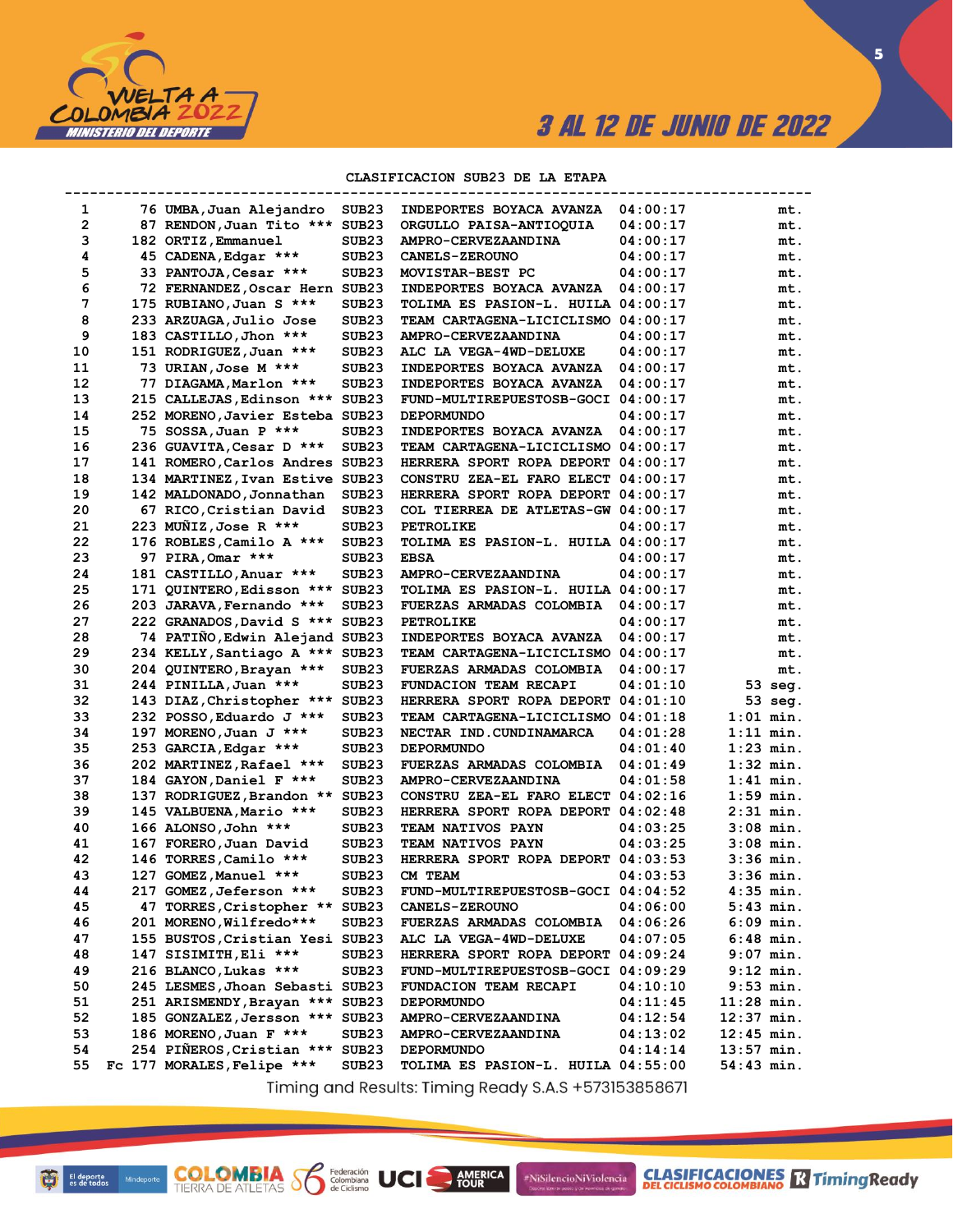

 $\overline{\mathbf{5}}$ 

### CLASIFICACION SUB23 DE LA ETAPA

| 1  | 76 UMBA, Juan Alejandro         | SUB <sub>23</sub> | INDEPORTES BOYACA AVANZA                          | 04:00:17 | mt.          |
|----|---------------------------------|-------------------|---------------------------------------------------|----------|--------------|
| 2  | 87 RENDON, Juan Tito ***        | SUB <sub>23</sub> | ORGULLO PAISA-ANTIOQUIA                           | 04:00:17 | mt.          |
| з  | 182 ORTIZ, Emmanuel             | SUB <sub>23</sub> | <b>AMPRO-CERVEZAANDINA</b>                        | 04:00:17 | mt.          |
| 4  | 45 CADENA, Edgar ***            | SUB <sub>23</sub> | <b>CANELS-ZEROUNO</b>                             | 04:00:17 | mt.          |
| 5  | 33 PANTOJA, Cesar ***           | SUB <sub>23</sub> | MOVISTAR-BEST PC                                  | 04:00:17 | mt.          |
| 6  | 72 FERNANDEZ, Oscar Hern        | SUB <sub>23</sub> | INDEPORTES BOYACA AVANZA                          | 04:00:17 | mt.          |
| 7  | 175 RUBIANO, Juan S ***         | SUB <sub>23</sub> | TOLIMA ES PASION-L. HUILA 04:00:17                |          | mt.          |
| 8  | 233 ARZUAGA, Julio Jose         | SUB <sub>23</sub> | TEAM CARTAGENA-LICICLISMO 04:00:17                |          | mt.          |
| 9  | 183 CASTILLO, Jhon ***          | SUB <sub>23</sub> | <b>AMPRO-CERVEZAANDINA</b>                        | 04:00:17 | mt.          |
| 10 | 151 RODRIGUEZ, Juan ***         | SUB <sub>23</sub> | ALC LA VEGA-4WD-DELUXE                            | 04:00:17 | mt.          |
| 11 | 73 URIAN, Jose M ***            | SUB <sub>23</sub> | INDEPORTES BOYACA AVANZA                          | 04:00:17 | mt.          |
| 12 | 77 DIAGAMA, Marlon ***          | SUB <sub>23</sub> | INDEPORTES BOYACA AVANZA                          | 04:00:17 | mt.          |
| 13 | 215 CALLEJAS, Edinson ***       | SUB <sub>23</sub> | FUND-MULTIREPUESTOSB-GOCI 04:00:17                |          | mt.          |
| 14 | 252 MORENO, Javier Esteba SUB23 |                   | <b>DEPORMUNDO</b>                                 | 04:00:17 | mt.          |
| 15 | 75 SOSSA, Juan P ***            | SUB <sub>23</sub> | INDEPORTES BOYACA AVANZA                          | 04:00:17 | mt.          |
| 16 | 236 GUAVITA, Cesar D ***        | SUB <sub>23</sub> | TEAM CARTAGENA-LICICLISMO 04:00:17                |          | mt.          |
| 17 | 141 ROMERO, Carlos Andres       | SUB <sub>23</sub> | HERRERA SPORT ROPA DEPORT 04:00:17                |          | mt.          |
| 18 | 134 MARTINEZ, Ivan Estive SUB23 |                   | CONSTRU ZEA-EL FARO ELECT 04:00:17                |          | mt.          |
| 19 | 142 MALDONADO, Jonnathan        | SUB <sub>23</sub> | HERRERA SPORT ROPA DEPORT 04:00:17                |          | mt.          |
| 20 | 67 RICO, Cristian David         | SUB <sub>23</sub> | COL TIERREA DE ATLETAS-GW 04:00:17                |          | mt.          |
| 21 | 223 MUNIZ, Jose R ***           | SUB <sub>23</sub> | <b>PETROLIKE</b>                                  | 04:00:17 | mt.          |
| 22 | 176 ROBLES, Camilo A ***        | SUB <sub>23</sub> | TOLIMA ES PASION-L. HUILA 04:00:17                |          | mt.          |
| 23 | 97 PIRA, Omar ***               | SUB <sub>23</sub> | <b>EBSA</b>                                       | 04:00:17 | mt.          |
| 24 | 181 CASTILLO, Anuar ***         | SUB <sub>23</sub> | <b>AMPRO-CERVEZAANDINA</b>                        | 04:00:17 | mt.          |
| 25 | 171 QUINTERO, Edisson ***       | SUB <sub>23</sub> | TOLIMA ES PASION-L. HUILA 04:00:17                |          | mt.          |
| 26 | 203 JARAVA, Fernando ***        | SUB23             | FUERZAS ARMADAS COLOMBIA                          | 04:00:17 | mt.          |
| 27 | 222 GRANADOS, David S ***       | SUB <sub>23</sub> | <b>PETROLIKE</b>                                  | 04:00:17 | mt.          |
| 28 | 74 PATINO, Edwin Alejand SUB23  |                   | INDEPORTES BOYACA AVANZA                          | 04:00:17 | mt.          |
| 29 | 234 KELLY, Santiago A ***       | SUB <sub>23</sub> | TEAM CARTAGENA-LICICLISMO 04:00:17                |          | mt.          |
| 30 | 204 QUINTERO, Brayan ***        | SUB <sub>23</sub> | FUERZAS ARMADAS COLOMBIA                          | 04:00:17 | mt.          |
| 31 | 244 PINILLA, Juan ***           | SUB <sub>23</sub> | FUNDACION TEAM RECAPI                             | 04:01:10 | 53 seg.      |
| 32 | 143 DIAZ, Christopher ***       | SUB <sub>23</sub> | HERRERA SPORT ROPA DEPORT 04:01:10                |          | 53 seg.      |
| 33 | 232 POSSO, Eduardo J ***        | SUB <sub>23</sub> | TEAM CARTAGENA-LICICLISMO 04:01:18                |          | $1:01$ min.  |
| 34 | 197 MORENO, Juan J ***          | SUB <sub>23</sub> | NECTAR IND. CUNDINAMARCA                          | 04:01:28 | $1:11$ min.  |
| 35 | 253 GARCIA, Edgar ***           | SUB <sub>23</sub> | <b>DEPORMUNDO</b>                                 | 04:01:40 | $1:23$ min.  |
| 36 | 202 MARTINEZ, Rafael ***        | SUB <sub>23</sub> | FUERZAS ARMADAS COLOMBIA                          | 04:01:49 | 1:32 min.    |
| 37 | 184 GAYON, Daniel F ***         | SUB <sub>23</sub> | AMPRO-CERVEZAANDINA                               | 04:01:58 | $1:41$ min.  |
| 38 | 137 RODRIGUEZ, Brandon **       | SUB <sub>23</sub> | CONSTRU ZEA-EL FARO ELECT 04:02:16                |          | $1:59$ min.  |
| 39 | 145 VALBUENA, Mario ***         | SUB <sub>23</sub> | HERRERA SPORT ROPA DEPORT 04:02:48                |          | $2:31$ min.  |
| 40 | 166 ALONSO, John ***            | SUB <sub>23</sub> | <b>TEAM NATIVOS PAYN</b>                          | 04:03:25 | $3:08$ min.  |
| 41 | 167 FORERO, Juan David          | SUB <sub>23</sub> | <b>TEAM NATIVOS PAYN</b>                          | 04:03:25 | $3:08$ min.  |
| 42 | 146 TORRES, Camilo ***          | SUB <sub>23</sub> | HERRERA SPORT ROPA DEPORT 04:03:53                |          | $3:36$ min.  |
| 43 | 127 GOMEZ, Manuel ***           | SUB <sub>23</sub> | CM TEAM                                           | 04:03:53 | 3:36 min.    |
| 44 | 217 GOMEZ, Jeferson ***         | SUB <sub>23</sub> | FUND-MULTIREPUESTOSB-GOCI 04:04:52                |          | $4:35$ min.  |
| 45 | 47 TORRES, Cristopher ** SUB23  |                   | <b>CANELS-ZEROUNO</b>                             | 04:06:00 | $5:43$ min.  |
| 46 | 201 MORENO, Wilfredo***         | SUB23             | <b>FUERZAS ARMADAS COLOMBIA</b>                   | 04:06:26 | $6:09$ min.  |
| 47 | 155 BUSTOS, Cristian Yesi       | SUB23             | ALC LA VEGA-4WD-DELUXE                            | 04:07:05 | $6:48$ min.  |
| 48 | 147 SISIMITH, Eli ***           | SUB <sub>23</sub> | HERRERA SPORT ROPA DEPORT 04:09:24                |          | $9:07$ min.  |
| 49 | 216 BLANCO, Lukas ***           | SUB <sub>23</sub> | FUND-MULTIREPUESTOSB-GOCI 04:09:29                |          | $9:12$ min.  |
| 50 | 245 LESMES, Jhoan Sebasti SUB23 |                   | FUNDACION TEAM RECAPI                             | 04:10:10 | $9:53$ min.  |
| 51 | 251 ARISMENDY, Brayan *** SUB23 |                   | <b>DEPORMUNDO</b>                                 | 04:11:45 | $11:28$ min. |
| 52 | 185 GONZALEZ, Jersson *** SUB23 |                   | AMPRO-CERVEZAANDINA                               | 04:12:54 | $12:37$ min. |
| 53 | 186 MORENO, Juan F ***          | SUB23             | <b>AMPRO-CERVEZAANDINA</b>                        | 04:13:02 | $12:45$ min. |
| 54 | 254 PIÑEROS, Cristian *** SUB23 |                   | <b>DEPORMUNDO</b>                                 | 04:14:14 | $13:57$ min. |
| 55 | Fc 177 MORALES, Felipe ***      | SUB23             | TOLIMA ES PASION-L. HUILA 04:55:00                |          | $54:43$ min. |
|    |                                 |                   | Timing and Deauto Timing Beady CAC (E791E20E0C71) |          |              |

Timing and Results: Timing Ready S.A.S +573153858671

**AMERICA** 

#NiSilencioNiViolencia

**COLOMBIA Se Edition UCI**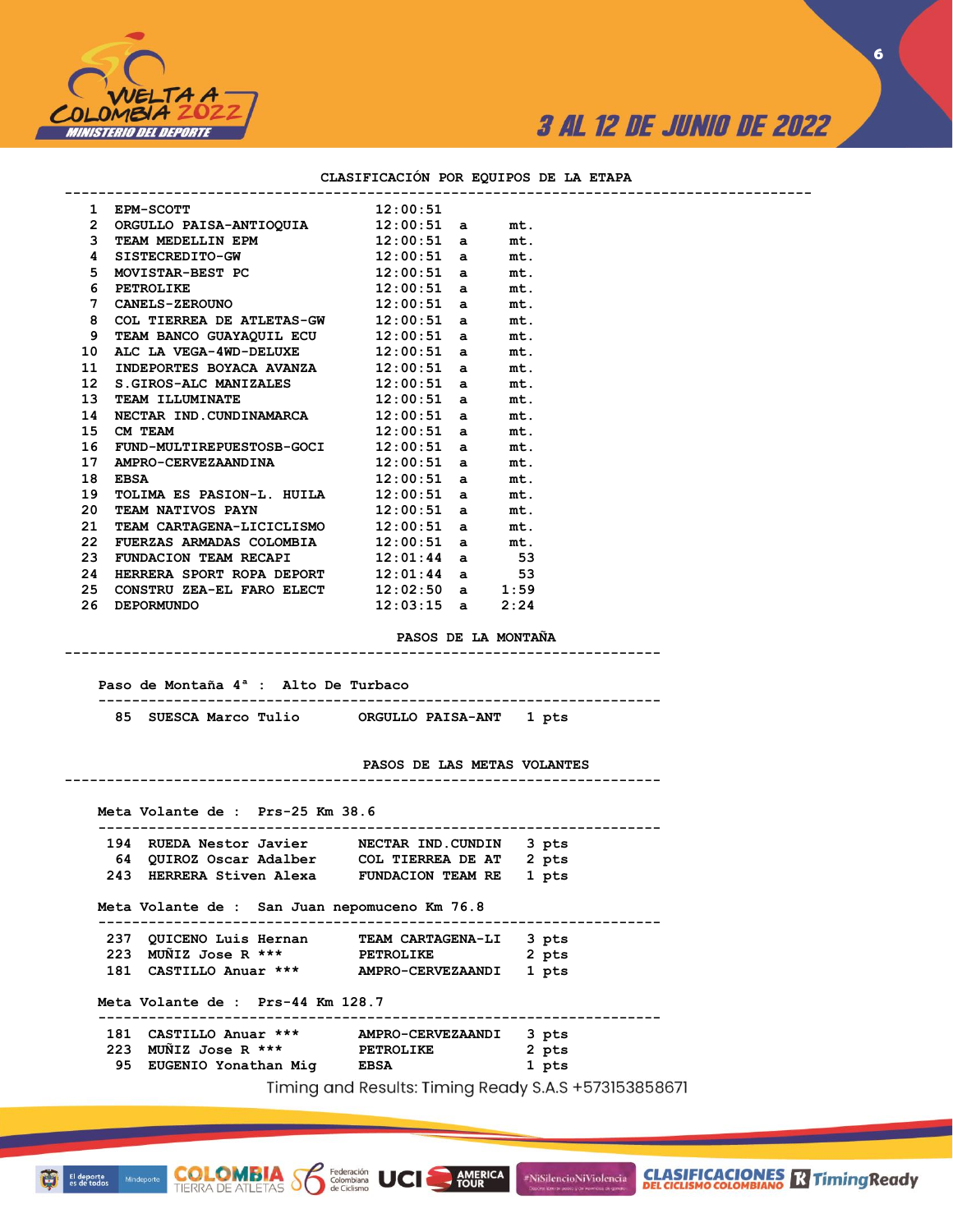

**6**

### **CLASIFICACIÓN POR EQUIPOS DE LA ETAPA**

**-----------------------------------------------------------------------------------------**

| 1                | EPM-SCOTT                         | 12:00:51 |              |      |
|------------------|-----------------------------------|----------|--------------|------|
| $\overline{2}$   | ORGULLO PAISA-ANTIOOUIA           | 12:00:51 | a            | mt.  |
| 3                | TEAM MEDELLIN EPM                 | 12:00:51 | a            | mt.  |
| 4                | SISTECREDITO-GW                   | 12:00:51 | a            | mt.  |
| 5                | MOVISTAR-BEST PC                  | 12:00:51 | a            | mt.  |
| 6                | <b>PETROLIKE</b>                  | 12:00:51 | a            | mt.  |
| 7                | <b>CANELS-ZEROUNO</b>             | 12:00:51 | a            | mt.  |
| 8                | COL TIERREA DE ATLETAS-GW         | 12:00:51 | a            | mt.  |
| 9                | TEAM BANCO GUAYAOUIL ECU 12:00:51 |          | a            | mt.  |
| 10               | ALC LA VEGA-4WD-DELUXE            | 12:00:51 | a            | mt.  |
| 11               | INDEPORTES BOYACA AVANZA          | 12:00:51 | a            | mt.  |
| 12 <sup>12</sup> | S.GIROS-ALC MANIZALES             | 12:00:51 | a            | mt.  |
| 13               | TEAM ILLUMINATE                   | 12:00:51 | a            | mt.  |
| 14               | NECTAR IND.CUNDINAMARCA           | 12:00:51 | a            | mt.  |
| 15               | CM TEAM                           | 12:00:51 | a            | mt.  |
| 16               | FUND-MULTIREPUESTOSB-GOCI         | 12:00:51 | a            | mt.  |
| 17               | AMPRO-CERVEZAANDINA               | 12:00:51 | a            | mt.  |
| 18               | <b>EBSA</b>                       | 12:00:51 | a            | mt.  |
| 19               | TOLIMA ES PASION-L. HUILA         | 12:00:51 | a            | mt.  |
| 20               | TEAM NATIVOS PAYN                 | 12:00:51 | a            | mt.  |
| 21               | TEAM CARTAGENA-LICICLISMO         | 12:00:51 | a            | mt.  |
| 22               | FUERZAS ARMADAS COLOMBIA          | 12:00:51 | a            | mt.  |
| 23               | FUNDACION TEAM RECAPI             | 12:01:44 | a            | 53   |
| 24               | HERRERA SPORT ROPA DEPORT         | 12:01:44 | a            | 53   |
| 25               | CONSTRU ZEA-EL FARO ELECT         | 12:02:50 | $\mathbf{a}$ | 1:59 |
| 26               | <b>DEPORMUNDO</b>                 | 12:03:15 | a            | 2:24 |
|                  |                                   |          |              |      |

**PASOS DE LA MONTAÑA**

 **Paso de Montaña 4ª : Alto De Turbaco ------------------------------------------------------------------- 85 SUESCA Marco Tulio ORGULLO PAISA-ANT 1 pts** 

**-----------------------------------------------------------------------**

#### **PASOS DE LAS METAS VOLANTES**

**AMERICA**<br>TOUR

#NiSilencioNiViolencia

**CLASIFICACIONES M**Timing Ready

**----------------------------------------------------------------------- Meta Volante de : Prs-25 Km 38.6 ------------------------------------------------------------------- 194 RUEDA Nestor Javier NECTAR IND.CUNDIN 3 pts 64 QUIROZ Oscar Adalber COL TIERREA DE AT 2 pts 243 HERRERA Stiven Alexa FUNDACION TEAM RE 1 pts Meta Volante de : San Juan nepomuceno Km 76.8 ------------------------------------------------------------------- 237 QUICENO Luis Hernan TEAM CARTAGENA-LI 3 pts**  237 QUICENO Luis nerman **1.2.2.23 MUÑIZ Jose R** \*\*\* PETROLIKE 2 pts 2 pts  **181 CASTILLO Anuar \*\*\* AMPRO-CERVEZAANDI 1 pts Meta Volante de : Prs-44 Km 128.7 ------------------------------------------------------------------- 181 CASTILLO Anuar \*\*\* AMPRO-CERVEZAANDI 3 pts 223 MUÑIZ Jose R \*\*\* PETROLIKE 2 pts 95 EUGENIO Yonathan Mig EBSA 1 pts** Timing and Results: Timing Ready S.A.S +573153858671

UCI

**COLOMBIA**<br>TIERRA DE ATLETAS **S** Se Ciclismo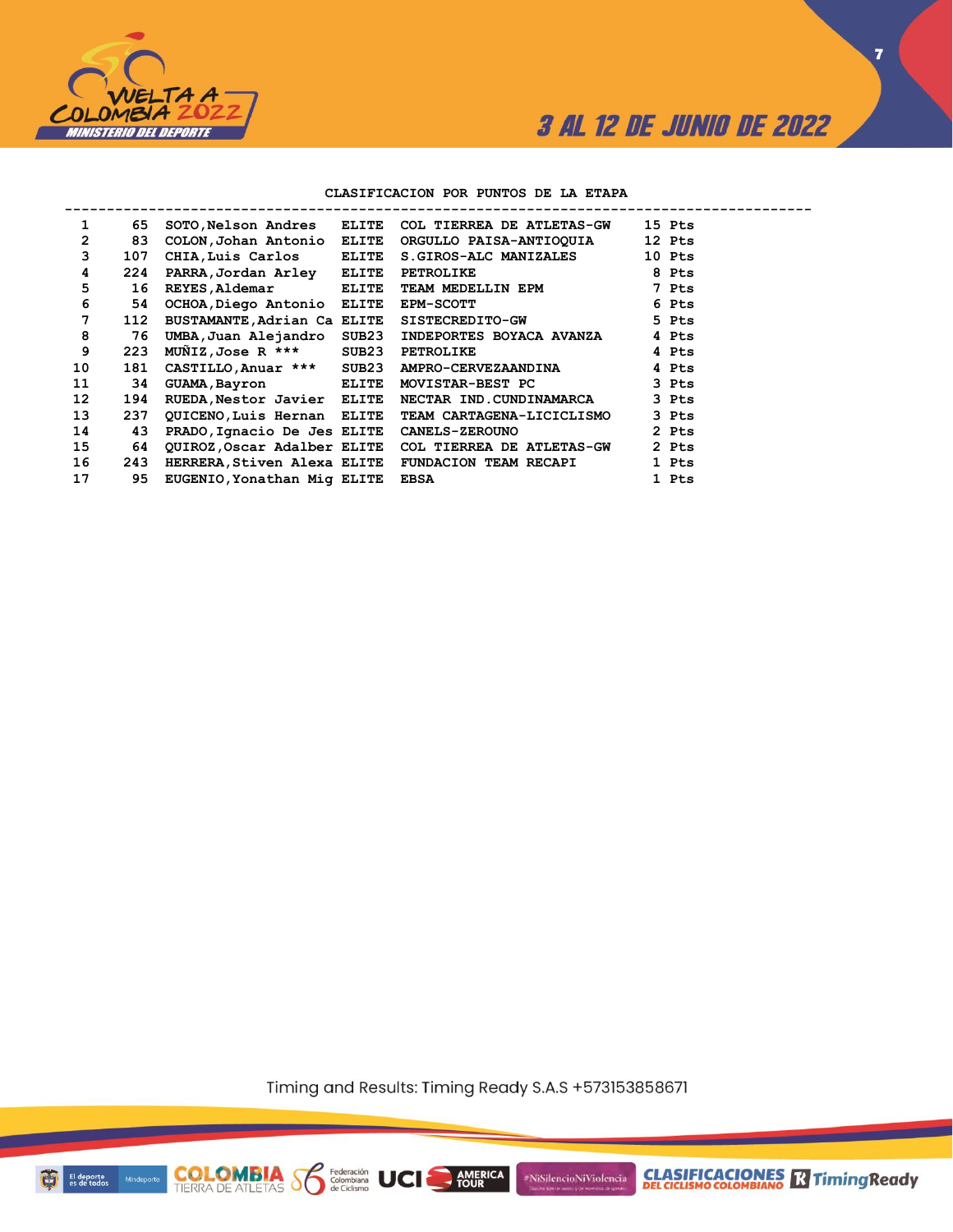

**7**

### **CLASIFICACION POR PUNTOS DE LA ETAPA**

| 1  | 65  | SOTO, Nelson Andres ELITE   |              | COL TIERREA DE ATLETAS-GW                             | 15 Pts |
|----|-----|-----------------------------|--------------|-------------------------------------------------------|--------|
| 2  | 83  | COLON, Johan Antonio        | <b>ELITE</b> | ORGULLO PAISA-ANTIOQUIA                               | 12 Pts |
| 3  | 107 | CHIA, Luis Carlos           | ELITE        | S.GIROS-ALC MANIZALES                                 | 10 Pts |
| 4  | 224 | PARRA, Jordan Arley         | <b>ELITE</b> | PETROLIKE                                             | 8 Pts  |
| 5  | 16  | <b>REYES, Aldemar</b>       | ELITE        | TEAM MEDELLIN EPM                                     | 7 Pts  |
| 6  | 54  | OCHOA, Diego Antonio ELITE  |              | <b>EPM-SCOTT</b>                                      | 6 Pts  |
| 7  | 112 | BUSTAMANTE, Adrian Ca ELITE |              | SISTECREDITO-GW                                       | 5 Pts  |
| 8  | 76  | UMBA, Juan Alejandro SUB23  |              | INDEPORTES BOYACA AVANZA                              | 4 Pts  |
| 9  | 223 | $M\tilde{M}$ IZ,Jose R ***  | SUB23        | <b>PETROLIKE</b>                                      | 4 Pts  |
| 10 | 181 | CASTILLO, Anuar ***         | SUB23        | AMPRO-CERVEZAANDINA                                   | 4 Pts  |
| 11 | 34  | GUAMA, Bayron               | <b>ELITE</b> | MOVISTAR-BEST PC                                      | 3 Pts  |
| 12 | 194 | RUEDA, Nestor Javier ELITE  |              | NECTAR IND.CUNDINAMARCA                               | 3 Pts  |
| 13 | 237 | QUICENO, Luis Hernan ELITE  |              | TEAM CARTAGENA-LICICLISMO                             | 3 Pts  |
| 14 | 43  | PRADO, Ignacio De Jes ELITE |              | <b>CANELS-ZEROUNO</b>                                 | 2 Pts  |
| 15 | 64  |                             |              | QUIROZ, Oscar Adalber ELITE COL TIERREA DE ATLETAS-GW | 2 Pts  |
| 16 | 243 | HERRERA, Stiven Alexa ELITE |              | <b>FUNDACION TEAM RECAPI</b>                          | 1 Pts  |
| 17 | 95  | EUGENIO, Yonathan Mig ELITE |              | <b>EBSA</b>                                           | 1 Pts  |

Timing and Results: Timing Ready S.A.S +573153858671

AMERICA

#NiSilencioNiViolencia

**COLOMBIA Solutions UCI** 

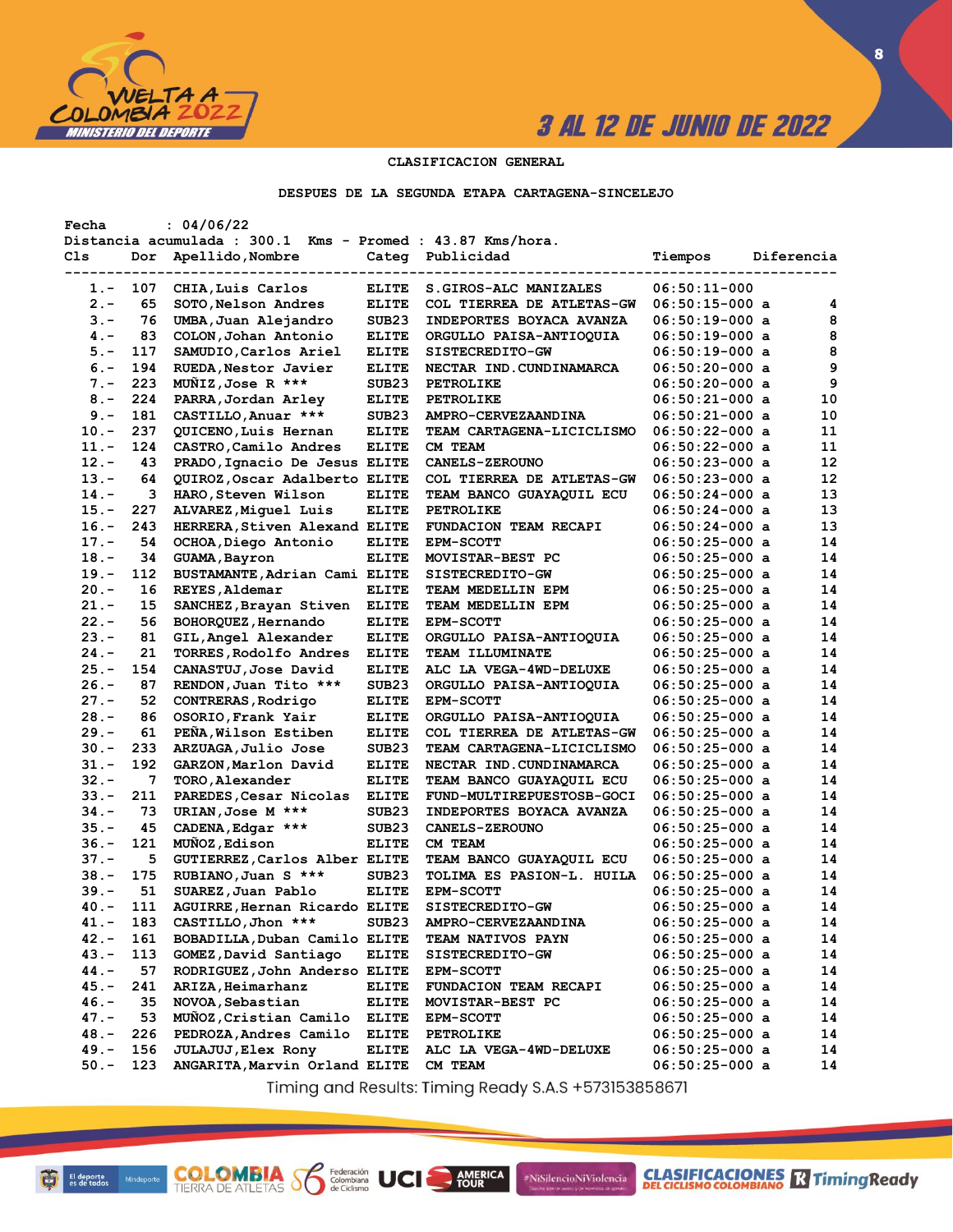

**CLASIFICACIONES** TimingReady

**8**

## **CLASIFICACION GENERAL**

#### **DESPUES DE LA SEGUNDA ETAPA CARTAGENA-SINCELEJO**

| Fecha   |     | : 04/06/22                                                 |                   |                              |                  |            |    |
|---------|-----|------------------------------------------------------------|-------------------|------------------------------|------------------|------------|----|
|         |     | Distancia acumulada : 300.1 Kms - Promed : 43.87 Kms/hora. |                   |                              |                  |            |    |
| Cls     | Dor | Apellido, Nombre                                           |                   | Categ Publicidad             | Tiempos          | Diferencia |    |
|         |     |                                                            |                   |                              |                  |            |    |
| $1. -$  | 107 | CHIA, Luis Carlos                                          | <b>ELITE</b>      | S.GIROS-ALC MANIZALES        | $06:50:11-000$   |            |    |
| $2 -$   | 65  | SOTO, Nelson Andres                                        | <b>ELITE</b>      | COL TIERREA DE ATLETAS-GW    | $06:50:15-000$ a |            | 4  |
| $3 -$   | 76  | UMBA, Juan Alejandro                                       | SUB <sub>23</sub> | INDEPORTES BOYACA AVANZA     | $06:50:19-000$ a |            | 8  |
| $4 -$   | 83  | COLON, Johan Antonio                                       | <b>ELITE</b>      | ORGULLO PAISA-ANTIOQUIA      | $06:50:19-000$ a |            | 8  |
| $5. -$  | 117 | SAMUDIO, Carlos Ariel                                      | <b>ELITE</b>      | SISTECREDITO-GW              | 06:50:19-000 a   |            | 8  |
| $6. -$  | 194 | RUEDA, Nestor Javier                                       | <b>ELITE</b>      | NECTAR IND. CUNDINAMARCA     | $06:50:20-000$ a |            | 9  |
| $7 -$   | 223 | MUNIZ, Jose R ***                                          | SUB <sub>23</sub> | <b>PETROLIKE</b>             | 06:50:20-000 a   |            | 9  |
| $8 -$   | 224 | PARRA, Jordan Arley                                        | <b>ELITE</b>      | PETROLIKE                    | 06:50:21-000 a   |            | 10 |
| $9 -$   | 181 | CASTILLO, Anuar ***                                        | SUB <sub>23</sub> | AMPRO-CERVEZAANDINA          | $06:50:21-000$ a |            | 10 |
| $10. -$ | 237 | QUICENO, Luis Hernan                                       | <b>ELITE</b>      | TEAM CARTAGENA-LICICLISMO    | $06:50:22-000$ a |            | 11 |
| $11. -$ | 124 | CASTRO, Camilo Andres                                      | <b>ELITE</b>      | CM TEAM                      | $06:50:22-000$ a |            | 11 |
| $12 -$  | 43  | PRADO, Ignacio De Jesus ELITE                              |                   | <b>CANELS-ZEROUNO</b>        | $06:50:23-000$ a |            | 12 |
| $13 -$  | 64  | QUIROZ, Oscar Adalberto ELITE                              |                   | COL TIERREA DE ATLETAS-GW    | $06:50:23-000$ a |            | 12 |
| $14. -$ | 3   | HARO, Steven Wilson                                        | <b>ELITE</b>      | TEAM BANCO GUAYAQUIL ECU     | $06:50:24-000$ a |            | 13 |
| $15. -$ | 227 | ALVAREZ, Miguel Luis                                       | <b>ELITE</b>      | <b>PETROLIKE</b>             | 06:50:24-000 a   |            | 13 |
| $16. -$ | 243 | HERRERA, Stiven Alexand ELITE                              |                   | <b>FUNDACION TEAM RECAPI</b> | $06:50:24-000$ a |            | 13 |
| $17. -$ | 54  | OCHOA, Diego Antonio                                       | <b>ELITE</b>      | <b>EPM-SCOTT</b>             | $06:50:25-000$ a |            | 14 |
| $18. -$ | 34  | GUAMA, Bayron                                              | <b>ELITE</b>      | MOVISTAR-BEST PC             | $06:50:25-000$ a |            | 14 |
| $19. -$ | 112 | BUSTAMANTE, Adrian Cami ELITE                              |                   | SISTECREDITO-GW              | $06:50:25-000$ a |            | 14 |
| $20 -$  | 16  | REYES, Aldemar                                             | <b>ELITE</b>      | TEAM MEDELLIN EPM            | $06:50:25-000$ a |            | 14 |
| $21 -$  | 15  | SANCHEZ, Brayan Stiven                                     | <b>ELITE</b>      | TEAM MEDELLIN EPM            | $06:50:25-000$ a |            | 14 |
| $22 -$  | 56  | BOHORQUEZ, Hernando                                        | <b>ELITE</b>      | <b>EPM-SCOTT</b>             | $06:50:25-000$ a |            | 14 |
| $23 -$  | 81  | GIL, Angel Alexander                                       | <b>ELITE</b>      | ORGULLO PAISA-ANTIOQUIA      | $06:50:25-000$ a |            | 14 |
| $24. -$ | 21  | TORRES, Rodolfo Andres                                     | <b>ELITE</b>      | <b>TEAM ILLUMINATE</b>       | $06:50:25-000$ a |            | 14 |
| $25. -$ | 154 | CANASTUJ, Jose David                                       | <b>ELITE</b>      | ALC LA VEGA-4WD-DELUXE       | 06:50:25-000 a   |            | 14 |
| $26. -$ | 87  | RENDON, Juan Tito ***                                      | SUB <sub>23</sub> | ORGULLO PAISA-ANTIOQUIA      | $06:50:25-000$ a |            | 14 |
| $27. -$ | 52  | CONTRERAS, Rodrigo                                         | <b>ELITE</b>      | <b>EPM-SCOTT</b>             | 06:50:25-000 a   |            | 14 |
| $28 -$  | 86  | OSORIO, Frank Yair                                         | <b>ELITE</b>      | ORGULLO PAISA-ANTIOQUIA      | 06:50:25-000 a   |            | 14 |
| $29. -$ | 61  | PEÑA, Wilson Estiben                                       |                   |                              |                  |            | 14 |
|         | 233 |                                                            | <b>ELITE</b>      | COL TIERREA DE ATLETAS-GW    | $06:50:25-000$ a |            | 14 |
| $30 -$  | 192 | ARZUAGA, Julio Jose                                        | SUB <sub>23</sub> | TEAM CARTAGENA-LICICLISMO    | 06:50:25-000 a   |            | 14 |
| 31.-    |     | GARZON, Marlon David                                       | <b>ELITE</b>      | NECTAR IND. CUNDINAMARCA     | $06:50:25-000$ a |            | 14 |
| $32 -$  | 7   | TORO, Alexander                                            | <b>ELITE</b>      | TEAM BANCO GUAYAQUIL ECU     | $06:50:25-000$ a |            |    |
| $33 -$  | 211 | PAREDES, Cesar Nicolas                                     | <b>ELITE</b>      | FUND-MULTIREPUESTOSB-GOCI    | $06:50:25-000$ a |            | 14 |
| $34. -$ | 73  | URIAN, Jose M ***                                          | SUB <sub>23</sub> | INDEPORTES BOYACA AVANZA     | $06:50:25-000$ a |            | 14 |
| $35. -$ | 45  | CADENA, Edgar ***                                          | SUB <sub>23</sub> | <b>CANELS-ZEROUNO</b>        | $06:50:25-000$ a |            | 14 |
| $36. -$ | 121 | MUÑOZ, Edison                                              | <b>ELITE</b>      | CM TEAM                      | $06:50:25-000$ a |            | 14 |
| $37. -$ | 5   | GUTIERREZ, Carlos Alber ELITE                              |                   | TEAM BANCO GUAYAQUIL ECU     | $06:50:25-000$ a |            | 14 |
| $38 -$  | 175 | RUBIANO, Juan S ***                                        | SUB <sub>23</sub> | TOLIMA ES PASION-L. HUILA    | $06:50:25-000$ a |            | 14 |
| 39.-    | 51  | SUAREZ, Juan Pablo                                         | <b>ELITE</b>      | <b>EPM-SCOTT</b>             | $06:50:25-000$ a |            | 14 |
| $40 -$  | 111 | AGUIRRE, Hernan Ricardo ELITE                              |                   | SISTECREDITO-GW              | 06:50:25-000 a   |            | 14 |
| 41.-    | 183 | CASTILLO, Jhon ***                                         | SUB <sub>23</sub> | AMPRO-CERVEZAANDINA          | $06:50:25-000$ a |            | 14 |
| $42 -$  | 161 | BOBADILLA, Duban Camilo ELITE                              |                   | TEAM NATIVOS PAYN            | $06:50:25-000$ a |            | 14 |
| $43. -$ | 113 | GOMEZ, David Santiago                                      | <b>ELITE</b>      | SISTECREDITO-GW              | $06:50:25-000$ a |            | 14 |
| 44.-    | 57  | RODRIGUEZ, John Anderso ELITE                              |                   | <b>EPM-SCOTT</b>             | $06:50:25-000$ a |            | 14 |
| $45. -$ | 241 | ARIZA, Heimarhanz                                          | <b>ELITE</b>      | FUNDACION TEAM RECAPI        | $06:50:25-000$ a |            | 14 |
| $46. -$ | 35  | NOVOA, Sebastian                                           | <b>ELITE</b>      | MOVISTAR-BEST PC             | $06:50:25-000$ a |            | 14 |
| $47. -$ | 53  | MUÑOZ, Cristian Camilo                                     | <b>ELITE</b>      | <b>EPM-SCOTT</b>             | 06:50:25-000 a   |            | 14 |
| $48. -$ | 226 | PEDROZA, Andres Camilo                                     | ELITE             | PETROLIKE                    | 06:50:25-000 a   |            | 14 |
| 49.-    | 156 | JULAJUJ, Elex Rony                                         | <b>ELITE</b>      | ALC LA VEGA-4WD-DELUXE       | $06:50:25-000$ a |            | 14 |
| $50. -$ | 123 | ANGARITA, Marvin Orland ELITE                              |                   | <b>CM TEAM</b>               | 06:50:25-000 a   |            | 14 |

Timing and Results: Timing Ready S.A.S +573153858671

AMERICA

#NiSilencioNiViolencia

**COLOMBIA SP** 

Federación<br>Colombiana<br>de Ciclismo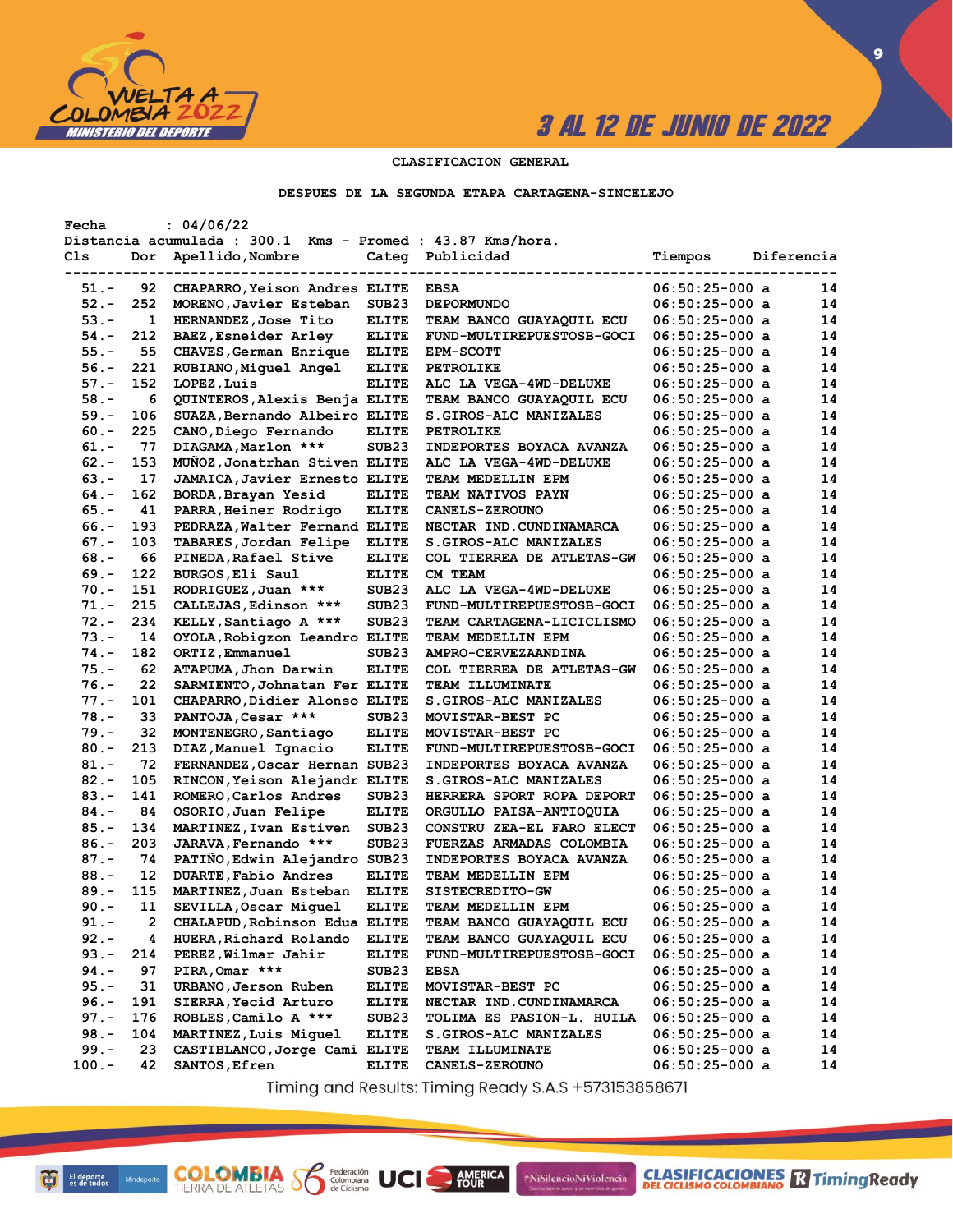

**CLASIFICACIONES** TimingReady

**9**

## **CLASIFICACION GENERAL**

### **DESPUES DE LA SEGUNDA ETAPA CARTAGENA-SINCELEJO**

| Fecha    |              | : 04/06/22                                                 |                              |                           |                  |            |    |
|----------|--------------|------------------------------------------------------------|------------------------------|---------------------------|------------------|------------|----|
|          |              | Distancia acumulada : 300.1 Kms - Promed : 43.87 Kms/hora. |                              |                           |                  |            |    |
| Cls      | Dor          | Apellido, Nombre                                           | Categ                        | Publicidad                | Tiempos          | Diferencia |    |
|          |              |                                                            |                              |                           |                  |            |    |
| $51. -$  | 92.          | CHAPARRO, Yeison Andres ELITE                              |                              | <b>EBSA</b>               | $06:50:25-000$ a |            | 14 |
| $52 -$   | 252          | MORENO, Javier Esteban                                     | SUB23                        | <b>DEPORMUNDO</b>         | $06:50:25-000$ a |            | 14 |
| $53. -$  | $\mathbf{1}$ | HERNANDEZ, Jose Tito                                       | <b>ELITE</b>                 | TEAM BANCO GUAYAQUIL ECU  | $06:50:25-000$ a |            | 14 |
| $54. -$  | 212          | BAEZ, Esneider Arley                                       | <b>ELITE</b>                 | FUND-MULTIREPUESTOSB-GOCI | 06:50:25-000 a   |            | 14 |
| $55. -$  | 55           | CHAVES, German Enrique                                     | <b>ELITE</b>                 | <b>EPM-SCOTT</b>          | 06:50:25-000 a   |            | 14 |
| $56. -$  | 221          | RUBIANO, Miguel Angel                                      | <b>ELITE</b>                 | <b>PETROLIKE</b>          | $06:50:25-000$ a |            | 14 |
| $57. -$  | 152          | LOPEZ, Luis                                                | <b>ELITE</b>                 | ALC LA VEGA-4WD-DELUXE    | 06:50:25-000 a   |            | 14 |
| $58. -$  | 6            | <b>QUINTEROS, Alexis Benja ELITE</b>                       |                              | TEAM BANCO GUAYAQUIL ECU  | $06:50:25-000$ a |            | 14 |
| 59.-     | 106          | SUAZA, Bernando Albeiro ELITE                              |                              | S.GIROS-ALC MANIZALES     | 06:50:25-000 a   |            | 14 |
| $60 -$   | 225          | CANO, Diego Fernando                                       | <b>ELITE</b>                 | <b>PETROLIKE</b>          | $06:50:25-000$ a |            | 14 |
| $61. -$  | 77           | DIAGAMA, Marlon ***                                        | SUB <sub>23</sub>            | INDEPORTES BOYACA AVANZA  | $06:50:25-000$ a |            | 14 |
| $62 -$   | 153          | MUNOZ, Jonatrhan Stiven ELITE                              |                              | ALC LA VEGA-4WD-DELUXE    | 06:50:25-000 a   |            | 14 |
| $63 -$   | 17           | <b>JAMAICA, Javier Ernesto ELITE</b>                       |                              | TEAM MEDELLIN EPM         | 06:50:25-000 a   |            | 14 |
|          | 162          |                                                            |                              |                           |                  |            | 14 |
| $64. -$  |              | BORDA, Brayan Yesid                                        | <b>ELITE</b>                 | TEAM NATIVOS PAYN         | $06:50:25-000$ a |            |    |
| $65. -$  | 41           | PARRA, Heiner Rodrigo                                      | <b>ELITE</b>                 | <b>CANELS-ZEROUNO</b>     | 06:50:25-000 a   |            | 14 |
| $66. -$  | 193          | PEDRAZA, Walter Fernand ELITE                              |                              | NECTAR IND. CUNDINAMARCA  | $06:50:25-000$ a |            | 14 |
| $67. -$  | 103          | TABARES, Jordan Felipe                                     | <b>ELITE</b>                 | S.GIROS-ALC MANIZALES     | $06:50:25-000$ a |            | 14 |
| $68. -$  | 66           | PINEDA, Rafael Stive                                       | <b>ELITE</b>                 | COL TIERREA DE ATLETAS-GW | 06:50:25-000 a   |            | 14 |
| $69. -$  | 122          | BURGOS, Eli Saul                                           | <b>ELITE</b>                 | CM TEAM                   | $06:50:25-000$ a |            | 14 |
| $70. -$  | 151          | RODRIGUEZ, Juan ***                                        | SUB <sub>23</sub>            | ALC LA VEGA-4WD-DELUXE    | 06:50:25-000 a   |            | 14 |
| $71. -$  | 215          | CALLEJAS, Edinson ***                                      | SUB <sub>23</sub>            | FUND-MULTIREPUESTOSB-GOCI | 06:50:25-000 a   |            | 14 |
| $72 -$   | 234          | KELLY, Santiago A ***                                      | SUB <sub>23</sub>            | TEAM CARTAGENA-LICICLISMO | 06:50:25-000 a   |            | 14 |
| $73. -$  | 14           | OYOLA, Robigzon Leandro ELITE                              |                              | TEAM MEDELLIN EPM         | 06:50:25-000 a   |            | 14 |
| $74. -$  | 182          | ORTIZ, Emmanuel                                            | SUB <sub>23</sub>            | AMPRO-CERVEZAANDINA       | $06:50:25-000$ a |            | 14 |
| $75. -$  | 62           | ATAPUMA, Jhon Darwin                                       | <b>ELITE</b>                 | COL TIERREA DE ATLETAS-GW | 06:50:25-000 a   |            | 14 |
| $76. -$  | 22           | SARMIENTO, Johnatan Fer ELITE                              |                              | TEAM ILLUMINATE           | $06:50:25-000$ a |            | 14 |
| $77. -$  | 101          | CHAPARRO, Didier Alonso ELITE                              |                              | S.GIROS-ALC MANIZALES     | 06:50:25-000 a   |            | 14 |
| $78. -$  | 33           | PANTOJA, Cesar ***                                         | SUB <sub>23</sub>            | MOVISTAR-BEST PC          | $06:50:25-000$ a |            | 14 |
| $79. -$  | 32           | MONTENEGRO, Santiago                                       | <b>ELITE</b>                 | MOVISTAR-BEST PC          | $06:50:25-000$ a |            | 14 |
| $80 -$   | 213          | DIAZ, Manuel Ignacio                                       | <b>ELITE</b>                 | FUND-MULTIREPUESTOSB-GOCI | $06:50:25-000$ a |            | 14 |
| $81. -$  | 72           | FERNANDEZ, Oscar Hernan SUB23                              |                              | INDEPORTES BOYACA AVANZA  | 06:50:25-000 a   |            | 14 |
| $82 -$   | 105          | RINCON, Yeison Alejandr ELITE                              |                              | S.GIROS-ALC MANIZALES     | 06:50:25-000 a   |            | 14 |
| $83 -$   | 141          | ROMERO, Carlos Andres                                      | SUB <sub>23</sub>            | HERRERA SPORT ROPA DEPORT | $06:50:25-000$ a |            | 14 |
| $84. -$  | 84           | OSORIO, Juan Felipe                                        | <b>ELITE</b>                 | ORGULLO PAISA-ANTIOQUIA   | 06:50:25-000 a   |            | 14 |
| $85. -$  | 134          | MARTINEZ, Ivan Estiven                                     | SUB <sub>23</sub>            | CONSTRU ZEA-EL FARO ELECT | 06:50:25-000 a   |            | 14 |
| $86. -$  | 203          | JARAVA, Fernando ***                                       | SUB <sub>23</sub>            | FUERZAS ARMADAS COLOMBIA  | $06:50:25-000$ a |            | 14 |
| $87. -$  | 74           | PATIÑO, Edwin Alejandro SUB23                              |                              | INDEPORTES BOYACA AVANZA  | $06:50:25-000$ a |            | 14 |
| $88. -$  | 12           |                                                            |                              |                           |                  |            | 14 |
|          |              | DUARTE, Fabio Andres                                       | <b>ELITE</b><br><b>ELITE</b> | TEAM MEDELLIN EPM         | $06:50:25-000$ a |            | 14 |
| $89. -$  | 115          | MARTINEZ, Juan Esteban                                     |                              | SISTECREDITO-GW           | $06:50:25-000$ a |            |    |
| $90 -$   | 11           | SEVILLA, Oscar Miquel                                      | <b>ELITE</b>                 | TEAM MEDELLIN EPM         | $06:50:25-000$ a |            | 14 |
| $91. -$  | 2            | CHALAPUD, Robinson Edua ELITE                              |                              | TEAM BANCO GUAYAQUIL ECU  | $06:50:25-000$ a |            | 14 |
| $92 -$   | 4            | HUERA, Richard Rolando                                     | <b>ELITE</b>                 | TEAM BANCO GUAYAQUIL ECU  | 06:50:25-000 a   |            | 14 |
| $93 -$   | 214          | PEREZ, Wilmar Jahir                                        | <b>ELITE</b>                 | FUND-MULTIREPUESTOSB-GOCI | $06:50:25-000$ a |            | 14 |
| 94.-     | 97           | PIRA, Omar ***                                             | SUB <sub>23</sub>            | <b>EBSA</b>               | $06:50:25-000$ a |            | 14 |
| $95. -$  | 31           | URBANO, Jerson Ruben                                       | <b>ELITE</b>                 | MOVISTAR-BEST PC          | $06:50:25-000$ a |            | 14 |
| $96. -$  | 191          | SIERRA, Yecid Arturo                                       | <b>ELITE</b>                 | NECTAR IND. CUNDINAMARCA  | $06:50:25-000$ a |            | 14 |
| $97. -$  | 176          | ROBLES, Camilo A ***                                       | SUB <sub>23</sub>            | TOLIMA ES PASION-L. HUILA | 06:50:25-000 a   |            | 14 |
| $98. -$  | 104          | MARTINEZ, Luis Miguel                                      | ELITE                        | S.GIROS-ALC MANIZALES     | $06:50:25-000$ a |            | 14 |
| $99. -$  | 23           | CASTIBLANCO, Jorge Cami ELITE                              |                              | <b>TEAM ILLUMINATE</b>    | $06:50:25-000$ a |            | 14 |
| $100. -$ | 42           | SANTOS, Efren                                              | <b>ELITE</b>                 | <b>CANELS-ZEROUNO</b>     | 06:50:25-000 a   |            | 14 |

Timing and Results: Timing Ready S.A.S +573153858671

**AMERICA** 

#NiSilencioNiViolencia

**COLOMBIA SP** 

Federación<br>Colombiana<br>de Ciclismo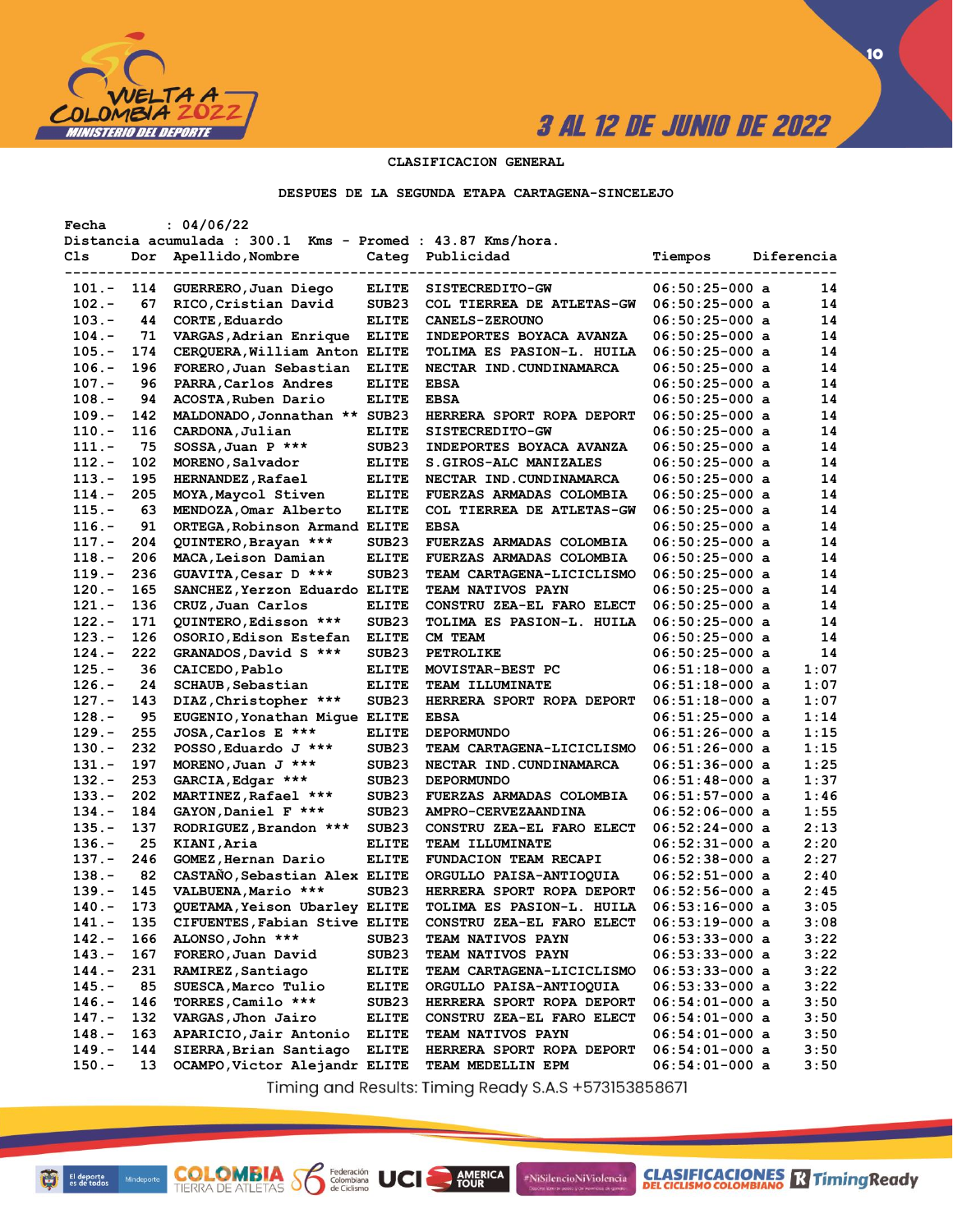

**CLASIFICACIONES R** Timing Ready

**10**

## **CLASIFICACION GENERAL**

### **DESPUES DE LA SEGUNDA ETAPA CARTAGENA-SINCELEJO**

| Fecha    |     | : 04/06/22                                                 |                   |                                  |                  |            |
|----------|-----|------------------------------------------------------------|-------------------|----------------------------------|------------------|------------|
|          |     | Distancia acumulada : 300.1 Kms - Promed : 43.87 Kms/hora. |                   |                                  |                  |            |
| Cls      | Dor | Apellido, Nombre                                           | Categ             | Publicidad                       | Tiempos          | Diferencia |
|          |     |                                                            |                   |                                  |                  |            |
| 101.-    | 114 | GUERRERO, Juan Diego                                       | <b>ELITE</b>      | SISTECREDITO-GW                  | $06:50:25-000$ a | 14         |
| $102 -$  | 67  | RICO, Cristian David                                       | SUB <sub>23</sub> | COL TIERREA DE ATLETAS-GW        | $06:50:25-000$ a | 14         |
| $103 -$  | 44  | CORTE, Eduardo                                             | <b>ELITE</b>      | <b>CANELS-ZEROUNO</b>            | $06:50:25-000$ a | 14         |
| $104. -$ | 71  | VARGAS, Adrian Enrique                                     | <b>ELITE</b>      | INDEPORTES BOYACA AVANZA         | $06:50:25-000$ a | 14         |
| $105. -$ | 174 | CERQUERA, William Anton ELITE                              |                   | TOLIMA ES PASION-L. HUILA        | $06:50:25-000$ a | 14         |
| $106. -$ | 196 | FORERO, Juan Sebastian                                     | <b>ELITE</b>      | NECTAR IND. CUNDINAMARCA         | $06:50:25-000$ a | 14         |
| $107.-$  | 96  | PARRA, Carlos Andres                                       | <b>ELITE</b>      | <b>EBSA</b>                      | $06:50:25-000$ a | 14         |
| $108. -$ | 94  | ACOSTA, Ruben Dario                                        | <b>ELITE</b>      | <b>EBSA</b>                      | $06:50:25-000$ a | 14         |
| $109. -$ | 142 | MALDONADO, Jonnathan ** SUB23                              |                   | HERRERA SPORT ROPA DEPORT        | $06:50:25-000$ a | 14         |
| $110.-$  | 116 | CARDONA, Julian                                            | <b>ELITE</b>      | <b>SISTECREDITO-GW</b>           | $06:50:25-000$ a | 14         |
| $111. -$ | 75  | SOSSA, Juan P ***                                          | SUB <sub>23</sub> | <b>INDEPORTES BOYACA AVANZA</b>  | $06:50:25-000$ a | 14         |
| $112. -$ | 102 | MORENO, Salvador                                           | <b>ELITE</b>      | <b>S.GIROS-ALC MANIZALES</b>     | $06:50:25-000$ a | 14         |
| $113 -$  | 195 | <b>HERNANDEZ, Rafael</b>                                   | <b>ELITE</b>      | NECTAR IND.CUNDINAMARCA          | $06:50:25-000$ a | 14         |
| $114. -$ | 205 | MOYA, Maycol Stiven                                        | <b>ELITE</b>      | FUERZAS ARMADAS COLOMBIA         | $06:50:25-000$ a | 14         |
| $115. -$ | 63  | MENDOZA, Omar Alberto                                      | <b>ELITE</b>      | COL TIERREA DE ATLETAS-GW        | $06:50:25-000$ a | 14         |
| $116. -$ | 91  | ORTEGA, Robinson Armand ELITE                              |                   | <b>EBSA</b>                      | $06:50:25-000$ a | 14         |
| $117. -$ | 204 | QUINTERO, Brayan ***                                       | SUB23             | <b>FUERZAS ARMADAS COLOMBIA</b>  | $06:50:25-000$ a | 14         |
| $118. -$ | 206 | MACA, Leison Damian                                        | <b>ELITE</b>      | FUERZAS ARMADAS COLOMBIA         | $06:50:25-000$ a | 14         |
| $119. -$ | 236 | GUAVITA, Cesar D ***                                       | SUB <sub>23</sub> | TEAM CARTAGENA-LICICLISMO        | $06:50:25-000$ a | 14         |
| $120 -$  | 165 | SANCHEZ, Yerzon Eduardo ELITE                              |                   | <b>TEAM NATIVOS PAYN</b>         | $06:50:25-000$ a | 14         |
| $121. -$ | 136 |                                                            | <b>ELITE</b>      | CONSTRU ZEA-EL FARO ELECT        | $06:50:25-000$ a | 14         |
| $122 -$  | 171 | CRUZ, Juan Carlos                                          |                   |                                  |                  | 14         |
|          |     | QUINTERO, Edisson ***                                      | SUB <sub>23</sub> | TOLIMA ES PASION-L. HUILA        | $06:50:25-000$ a | 14         |
| $123 -$  | 126 | OSORIO, Edison Estefan                                     | <b>ELITE</b>      | CM TEAM                          | $06:50:25-000$ a |            |
| $124. -$ | 222 | GRANADOS, David S ***                                      | SUB <sub>23</sub> | PETROLIKE                        | $06:50:25-000$ a | 14         |
| $125. -$ | 36  | CAICEDO, Pablo                                             | <b>ELITE</b>      | MOVISTAR-BEST PC                 | $06:51:18-000$ a | 1:07       |
| $126. -$ | 24  | <b>SCHAUB, Sebastian</b>                                   | <b>ELITE</b>      | <b>TEAM ILLUMINATE</b>           | $06:51:18-000$ a | 1:07       |
| $127. -$ | 143 | DIAZ, Christopher ***                                      | SUB23             | HERRERA SPORT ROPA DEPORT        | $06:51:18-000$ a | 1:07       |
| $128 -$  | 95  | EUGENIO, Yonathan Migue ELITE                              |                   | <b>EBSA</b>                      | $06:51:25-000$ a | 1:14       |
| $129. -$ | 255 | JOSA, Carlos E ***                                         | <b>ELITE</b>      | <b>DEPORMUNDO</b>                | $06:51:26-000$ a | 1:15       |
| $130 -$  | 232 | POSSO, Eduardo J ***                                       | SUB <sub>23</sub> | TEAM CARTAGENA-LICICLISMO        | $06:51:26-000$ a | 1:15       |
| 131.-    | 197 | MORENO, Juan J ***                                         | SUB <sub>23</sub> | NECTAR IND. CUNDINAMARCA         | $06:51:36-000$ a | 1:25       |
| $132 -$  | 253 | GARCIA, Edgar ***                                          | SUB <sub>23</sub> | <b>DEPORMUNDO</b>                | $06:51:48-000$ a | 1:37       |
| $133 -$  | 202 | MARTINEZ, Rafael ***                                       | SUB23             | FUERZAS ARMADAS COLOMBIA         | $06:51:57-000$ a | 1:46       |
| 134.-    | 184 | GAYON, Daniel F ***                                        | SUB23             | <b>AMPRO-CERVEZAANDINA</b>       | $06:52:06-000$ a | 1:55       |
| $135.-$  | 137 | RODRIGUEZ, Brandon ***                                     | SUB <sub>23</sub> | CONSTRU ZEA-EL FARO ELECT        | $06:52:24-000$ a | 2:13       |
| $136. -$ | 25  | KIANI, Aria                                                | <b>ELITE</b>      | <b>TEAM ILLUMINATE</b>           | $06:52:31-000$ a | 2:20       |
| $137. -$ | 246 | GOMEZ, Hernan Dario                                        | <b>ELITE</b>      | FUNDACION TEAM RECAPI            | $06:52:38-000$ a | 2:27       |
| $138 -$  | 82  | CASTANO, Sebastian Alex ELITE                              |                   | ORGULLO PAISA-ANTIOQUIA          | $06:52:51-000$ a | 2:40       |
| $139. -$ | 145 | VALBUENA, Mario ***                                        | SUB <sub>23</sub> | HERRERA SPORT ROPA DEPORT        | $06:52:56-000$ a | 2:45       |
| $140 -$  | 173 | QUETAMA, Yeison Ubarley ELITE                              |                   | TOLIMA ES PASION-L. HUILA        | $06:53:16-000$ a | 3:05       |
| 141.-    | 135 | CIFUENTES, Fabian Stive ELITE                              |                   | CONSTRU ZEA-EL FARO ELECT        | $06:53:19-000$ a | 3:08       |
| $142. -$ | 166 | ALONSO, John ***                                           | SUB <sub>23</sub> | <b>TEAM NATIVOS PAYN</b>         | $06:53:33-000$ a | 3:22       |
| $143. -$ | 167 | FORERO, Juan David                                         | SUB <sub>23</sub> | <b>TEAM NATIVOS PAYN</b>         | $06:53:33-000$ a | 3:22       |
| $144. -$ | 231 | RAMIREZ, Santiago                                          | <b>ELITE</b>      | <b>TEAM CARTAGENA-LICICLISMO</b> | $06:53:33-000$ a | 3:22       |
| $145. -$ | 85  | SUESCA, Marco Tulio                                        | <b>ELITE</b>      | ORGULLO PAISA-ANTIOQUIA          | $06:53:33-000$ a | 3:22       |
| $146. -$ | 146 | TORRES, Camilo ***                                         | SUB23             | HERRERA SPORT ROPA DEPORT        | $06:54:01-000$ a | 3:50       |
| $147. -$ | 132 | VARGAS, Jhon Jairo                                         | <b>ELITE</b>      | CONSTRU ZEA-EL FARO ELECT        | $06:54:01-000$ a | 3:50       |
| $148. -$ | 163 | APARICIO, Jair Antonio                                     | <b>ELITE</b>      | <b>TEAM NATIVOS PAYN</b>         | $06:54:01-000$ a | 3:50       |
| $149. -$ | 144 | SIERRA, Brian Santiago                                     | <b>ELITE</b>      | HERRERA SPORT ROPA DEPORT        | $06:54:01-000$ a | 3:50       |
| $150. -$ | 13  | OCAMPO, Victor Alejandr ELITE                              |                   | TEAM MEDELLIN EPM                | $06:54:01-000$ a | 3:50       |
|          |     |                                                            |                   |                                  |                  |            |

Timing and Results: Timing Ready S.A.S +573153858671

**AMERICA** 

#NiSilencioNiViolencia

**COLOMBIA S6** 

Federación<br>Colombiana<br>de Ciclismo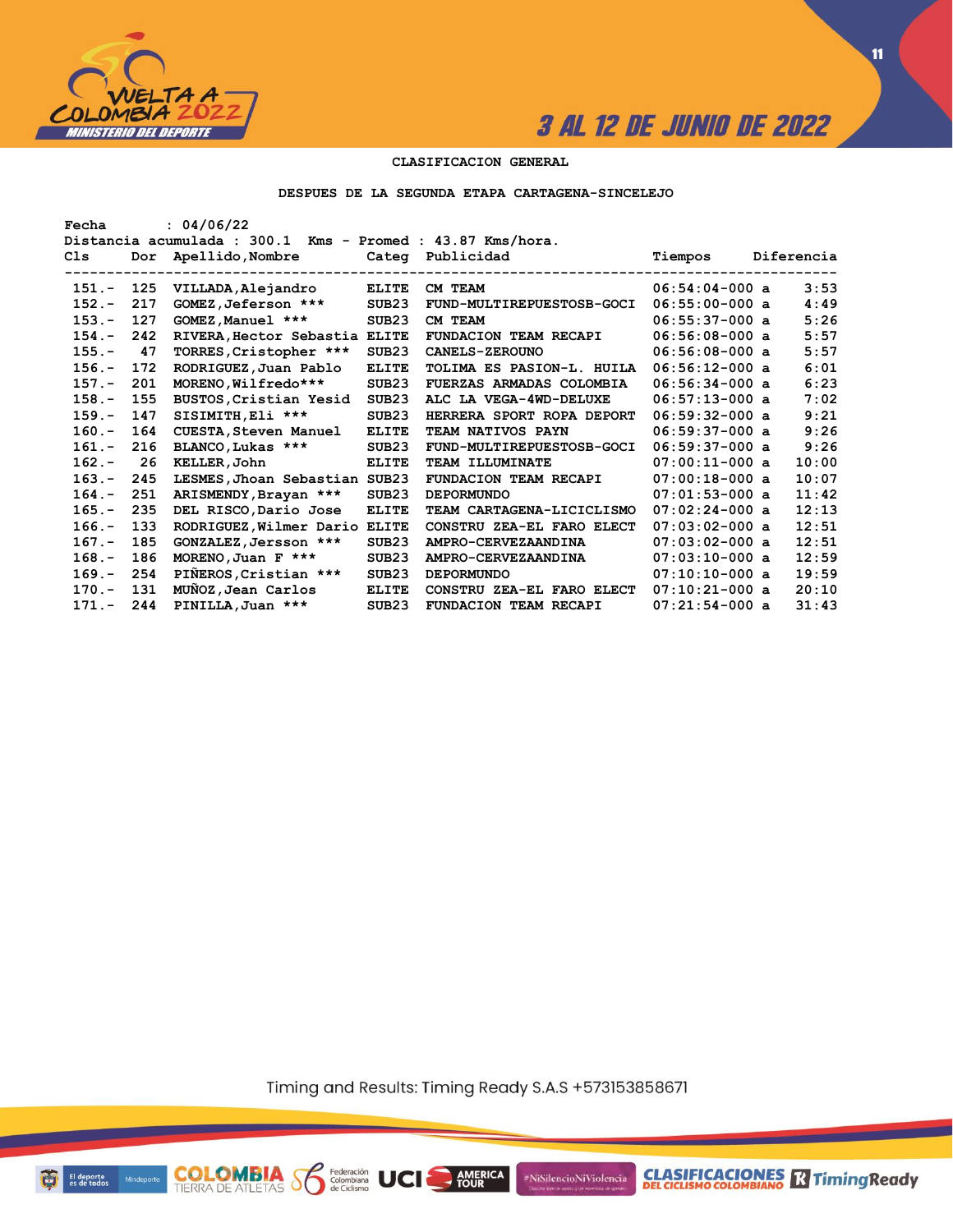

**11**

## **CLASIFICACION GENERAL**

#### **DESPUES DE LA SEGUNDA ETAPA CARTAGENA-SINCELEJO**

| Fecha    |     | : 04/06/22                                                 |                   |                              |                  |            |
|----------|-----|------------------------------------------------------------|-------------------|------------------------------|------------------|------------|
|          |     | Distancia acumulada : 300.1 Kms - Promed : 43.87 Kms/hora. |                   |                              |                  |            |
| C1s      | Dor | Apellido, Nombre                                           | Categ             | Publicidad                   | Tiempos          | Diferencia |
|          |     |                                                            |                   |                              |                  |            |
| $151 -$  | 125 | VILLADA, Alejandro                                         | <b>ELITE</b>      | CM TEAM                      | $06:54:04-000$ a | 3:53       |
| $152 -$  | 217 | GOMEZ, Jeferson ***                                        | SUB <sub>23</sub> | FUND-MULTIREPUESTOSB-GOCI    | $06:55:00-000$ a | 4:49       |
| $153 -$  | 127 | GOMEZ, Manuel ***                                          | SUB <sub>23</sub> | CM TEAM                      | $06:55:37-000$ a | 5:26       |
| $154. -$ | 242 | RIVERA, Hector Sebastia ELITE                              |                   | FUNDACION TEAM RECAPI        | $06:56:08-000$ a | 5:57       |
| $155. -$ | 47  | TORRES, Cristopher ***                                     | SUB <sub>23</sub> | <b>CANELS-ZEROUNO</b>        | $06:56:08-000$ a | 5:57       |
| $156. -$ | 172 | RODRIGUEZ, Juan Pablo                                      | <b>ELITE</b>      | TOLIMA ES PASION-L. HUILA    | $06:56:12-000$ a | 6:01       |
| $157. -$ | 201 | MORENO, Wilfredo***                                        | SUB23             | FUERZAS ARMADAS COLOMBIA     | $06:56:34-000$ a | 6:23       |
| $158. -$ | 155 | BUSTOS, Cristian Yesid                                     | SUB <sub>23</sub> | ALC LA VEGA-4WD-DELUXE       | $06:57:13-000$ a | 7:02       |
| $159. -$ | 147 | SISIMITH, Eli ***                                          | SUB <sub>23</sub> | HERRERA SPORT ROPA DEPORT    | $06:59:32-000$ a | 9:21       |
| $160 -$  | 164 | <b>CUESTA, Steven Manuel</b>                               | <b>ELITE</b>      | TEAM NATIVOS PAYN            | $06:59:37-000$ a | 9:26       |
| $161. -$ | 216 | BLANCO, Lukas ***                                          | SUB <sub>23</sub> | FUND-MULTIREPUESTOSB-GOCI    | $06:59:37-000$ a | 9:26       |
| $162 -$  | 26  | KELLER, John                                               | <b>ELITE</b>      | TEAM ILLUMINATE              | $07:00:11-000$ a | 10:00      |
| $163 -$  | 245 | LESMES, Jhoan Sebastian SUB23                              |                   | FUNDACION TEAM RECAPI        | $07:00:18-000$ a | 10:07      |
| $164. -$ | 251 | ARISMENDY, Brayan ***                                      | SUB23             | <b>DEPORMUNDO</b>            | $07:01:53-000$ a | 11:42      |
| $165. -$ | 235 | DEL RISCO, Dario Jose                                      | <b>ELITE</b>      | TEAM CARTAGENA-LICICLISMO    | $07:02:24-000$ a | 12:13      |
| $166. -$ | 133 | RODRIGUEZ, Wilmer Dario                                    | <b>ELITE</b>      | CONSTRU ZEA-EL FARO ELECT    | $07:03:02-000$ a | 12:51      |
| $167. -$ | 185 | GONZALEZ, Jersson ***                                      | SUB <sub>23</sub> | AMPRO-CERVEZAANDINA          | $07:03:02-000$ a | 12:51      |
| $168. -$ | 186 | MORENO, Juan $F$ ***                                       | SUB <sub>23</sub> | AMPRO-CERVEZAANDINA          | $07:03:10-000$ a | 12:59      |
| $169. -$ | 254 | PIÑEROS, Cristian ***                                      | SUB <sub>23</sub> | <b>DEPORMUNDO</b>            | $07:10:10-000$ a | 19:59      |
| $170 -$  | 131 | MUNOZ, Jean Carlos                                         | <b>ELITE</b>      | CONSTRU ZEA-EL FARO ELECT    | $07:10:21-000$ a | 20:10      |
| $171. -$ | 244 | PINILLA, Juan ***                                          | SUB <sub>23</sub> | <b>FUNDACION TEAM RECAPI</b> | $07:21:54-000$ a | 31:43      |

Timing and Results: Timing Ready S.A.S +573153858671

**AMERICA** 

UCI

#NiSilencioNiViolencia



**COLOMBIA**<br>TIERRA DE ATLETAS **S** Se Ciclismo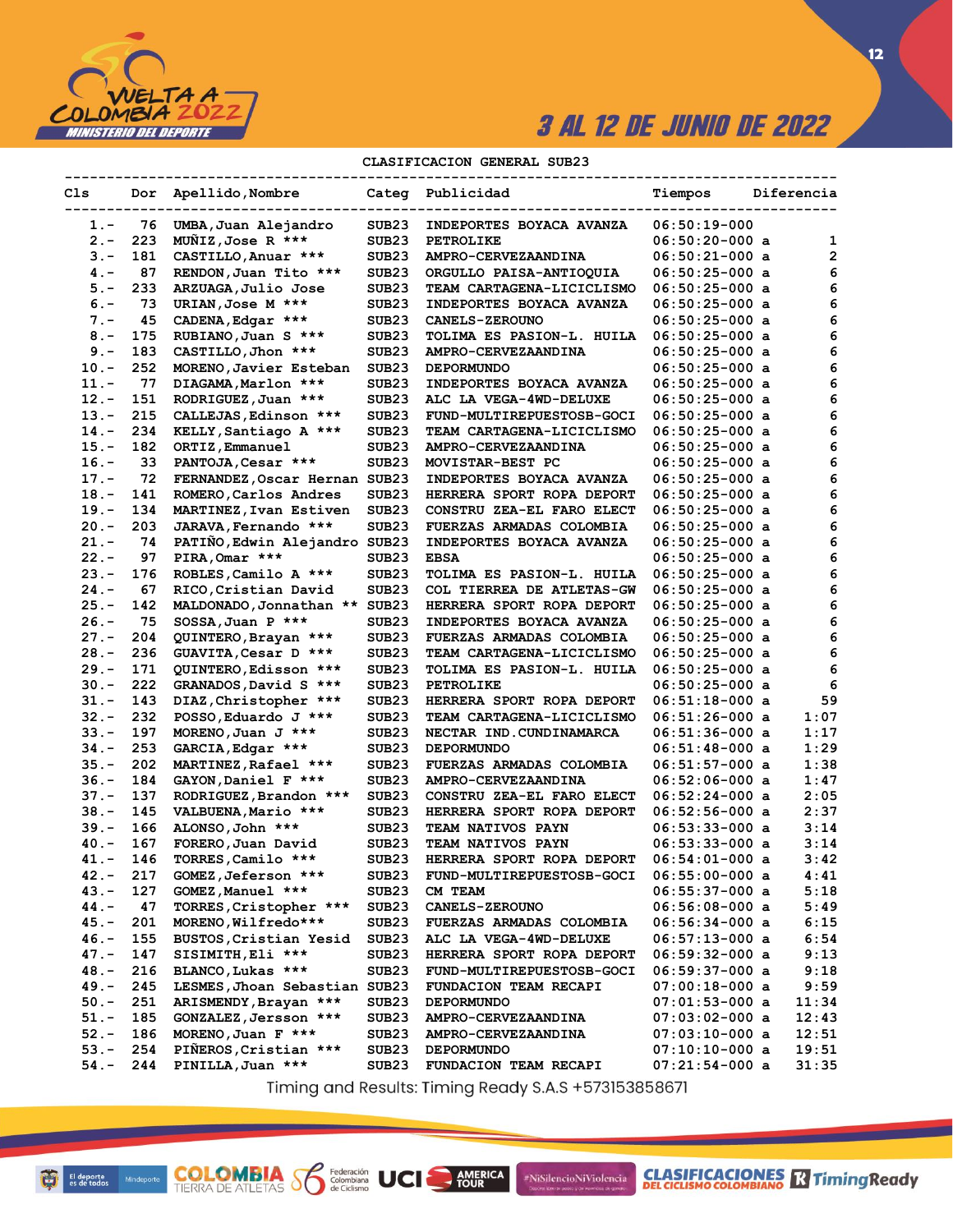

 $12$ 

## CLASIFICACION GENERAL SUB23

| Cls     |     | Dor Apellido, Nombre          |                   | Categ Publicidad                | Tiempos                              | Diferencia   |
|---------|-----|-------------------------------|-------------------|---------------------------------|--------------------------------------|--------------|
| $1. -$  | 76  | UMBA, Juan Alejandro          | SUB <sub>23</sub> | INDEPORTES BOYACA AVANZA        | $06:50:19-000$                       |              |
| $2 -$   | 223 | MUNIZ, Jose R ***             | SUB <sub>23</sub> | <b>PETROLIKE</b>                | $06:50:20-000$ a                     | 1            |
| $3 -$   | 181 | CASTILLO, Anuar ***           | SUB <sub>23</sub> | AMPRO-CERVEZAANDINA             | $06:50:21-000$ a                     | $\mathbf{2}$ |
| $4 -$   | 87  | RENDON, Juan Tito ***         | SUB <sub>23</sub> | ORGULLO PAISA-ANTIOQUIA         | $06:50:25-000$ a                     | 6            |
| $5 -$   | 233 | ARZUAGA, Julio Jose           | SUB23             | TEAM CARTAGENA-LICICLISMO       | 06:50:25-000 a                       | 6            |
| $6. -$  | 73  | URIAN, Jose M ***             | SUB <sub>23</sub> | INDEPORTES BOYACA AVANZA        | 06:50:25-000 a                       | 6            |
| $7 -$   | 45  | CADENA, Edgar ***             | SUB23             | <b>CANELS-ZEROUNO</b>           | $06:50:25-000$ a                     | 6            |
| $8 -$   | 175 | RUBIANO, Juan S ***           | SUB23             | TOLIMA ES PASION-L. HUILA       | $06:50:25-000$ a                     | 6            |
| $9 -$   | 183 | CASTILLO, Jhon ***            | SUB <sub>23</sub> | <b>AMPRO-CERVEZAANDINA</b>      | $06:50:25-000$ a                     | 6            |
| $10.-$  | 252 | MORENO, Javier Esteban        | SUB23             | <b>DEPORMUNDO</b>               | $06:50:25-000$ a                     | 6            |
| 11.-    | 77  | DIAGAMA, Marlon ***           | SUB23             | INDEPORTES BOYACA AVANZA        | $06:50:25-000$ a                     | 6            |
| 12.-    | 151 | RODRIGUEZ, Juan ***           | SUB <sub>23</sub> | ALC LA VEGA-4WD-DELUXE          | $06:50:25-000$ a                     | 6            |
| $13.-$  | 215 | CALLEJAS, Edinson ***         | SUB23             | FUND-MULTIREPUESTOSB-GOCI       | $06:50:25-000$ a                     | 6            |
| 14.-    | 234 | KELLY, Santiago A ***         | SUB23             | TEAM CARTAGENA-LICICLISMO       | 06:50:25-000 a                       | 6            |
| 15.-    | 182 |                               | SUB23             |                                 | 06:50:25-000 a                       | 6            |
| $16. -$ | 33  | ORTIZ, Emmanuel               |                   | <b>AMPRO-CERVEZAANDINA</b>      |                                      | 6            |
|         |     | PANTOJA, Cesar ***            | SUB <sub>23</sub> | MOVISTAR-BEST PC                | $06:50:25-000$ a                     |              |
| 17.-    | 72  | FERNANDEZ, Oscar Hernan SUB23 |                   | INDEPORTES BOYACA AVANZA        | $06:50:25-000$ a                     | 6            |
| 18.-    | 141 | ROMERO, Carlos Andres         | SUB23             | HERRERA SPORT ROPA DEPORT       | $06:50:25-000$ a                     | 6            |
| 19.-    | 134 | MARTINEZ, Ivan Estiven        | SUB <sub>23</sub> | CONSTRU ZEA-EL FARO ELECT       | $06:50:25-000$ a                     | 6            |
| 20.-    | 203 | JARAVA, Fernando ***          | SUB23             | FUERZAS ARMADAS COLOMBIA        | 06:50:25-000 a                       | 6            |
| 21.-    | 74  | PATINO, Edwin Alejandro SUB23 |                   | INDEPORTES BOYACA AVANZA        | 06:50:25-000 a                       | 6            |
| $22 -$  | 97  | PIRA, Omar ***                | SUB23             | <b>EBSA</b>                     | $06:50:25-000$ a                     | 6            |
| 23.-    | 176 | ROBLES, Camilo A ***          | SUB <sub>23</sub> | TOLIMA ES PASION-L. HUILA       | $06:50:25-000$ a                     | 6            |
| 24.-    | 67  | RICO, Cristian David          | SUB23             | COL TIERREA DE ATLETAS-GW       | 06:50:25-000 a                       | 6            |
| 25.-    | 142 | MALDONADO, Jonnathan **       | SUB <sub>23</sub> | HERRERA SPORT ROPA DEPORT       | 06:50:25-000 a                       | 6            |
| 26.-    | 75  | $SOSSA, Juan P$ ***           | SUB <sub>23</sub> | INDEPORTES BOYACA AVANZA        | 06:50:25-000 a                       | 6            |
| 27.-    | 204 | QUINTERO, Brayan ***          | SUB <sub>23</sub> | <b>FUERZAS ARMADAS COLOMBIA</b> | $06:50:25-000$ a                     | 6            |
| $28. -$ | 236 | GUAVITA, Cesar D ***          | SUB23             | TEAM CARTAGENA-LICICLISMO       | $06:50:25-000$ a                     | 6            |
| 29.-    | 171 | QUINTERO, Edisson ***         | SUB <sub>23</sub> | TOLIMA ES PASION-L. HUILA       | $06:50:25-000$ a                     | 6            |
| $30 -$  | 222 | GRANADOS, David S ***         | SUB23             | <b>PETROLIKE</b>                | 06:50:25-000 a                       | 6            |
| 31.-    | 143 | DIAZ, Christopher ***         | SUB23             | HERRERA SPORT ROPA DEPORT       | 06:51:18-000 a                       | 59           |
| $32 -$  | 232 | POSSO, Eduardo J ***          | SUB23             | TEAM CARTAGENA-LICICLISMO       | 06:51:26-000 a                       | 1:07         |
| $33 -$  | 197 | MORENO, Juan $J$ ***          | SUB23             | NECTAR IND.CUNDINAMARCA         | 06:51:36-000 a                       | 1:17         |
| 34.-    | 253 | GARCIA, Edgar ***             | SUB <sub>23</sub> | <b>DEPORMUNDO</b>               | $06:51:48-000$ a                     | 1:29         |
| $35. -$ | 202 | MARTINEZ, Rafael ***          | SUB23             | FUERZAS ARMADAS COLOMBIA        | $06:51:57-000$ a                     | 1:38         |
| $36. -$ | 184 | GAYON, Daniel F ***           | SUB <sub>23</sub> | AMPRO-CERVEZAANDINA             | $06:52:06-000$ a                     | 1:47         |
| 37.-    | 137 | RODRIGUEZ, Brandon ***        | SUB <sub>23</sub> | CONSTRU ZEA-EL FARO ELECT       | $06:52:24-000$ a                     | 2:05         |
| $38. -$ | 145 | VALBUENA, Mario ***           | SUB23             | HERRERA SPORT ROPA DEPORT       | $06:52:56-000$ a                     | 2:37         |
| 39.-    | 166 | ALONSO, John ***              | SUB <sub>23</sub> | TEAM NATIVOS PAYN               | $06:53:33-000$ a                     | 3:14         |
| $40 -$  | 167 | FORERO, Juan David            | SUB23             | TEAM NATIVOS PAYN               | $06:53:33-000$ a                     | 3:14         |
| 41.-    | 146 | TORRES, Camilo ***            | SUB23             | HERRERA SPORT ROPA DEPORT       | 06:54:01-000 a                       | 3:42         |
| $42 -$  | 217 | GOMEZ, Jeferson ***           | SUB <sub>23</sub> | FUND-MULTIREPUESTOSB-GOCI       | $06:55:00-000$ a                     | 4:41         |
| 43.-    | 127 | GOMEZ, Manuel ***             | SUB <sub>23</sub> | CM TEAM                         | $06:55:37-000$ a                     | 5:18         |
| 44.-    | 47  | TORRES, Cristopher ***        | SUB <sub>23</sub> | <b>CANELS-ZEROUNO</b>           | $06:56:08-000$ a                     | 5:49         |
| $45. -$ | 201 | MORENO, Wilfredo***           | SUB23             | FUERZAS ARMADAS COLOMBIA        | $06:56:34-000$ a                     | 6:15         |
| $46. -$ | 155 | BUSTOS, Cristian Yesid        | SUB23             | ALC LA VEGA-4WD-DELUXE          | $06:57:13-000$ a                     | 6:54         |
| 47.-    | 147 | SISIMITH, Eli ***             | SUB <sub>23</sub> | HERRERA SPORT ROPA DEPORT       | $06:59:32-000$ a                     | 9:13         |
| 48.-    | 216 | BLANCO, Lukas ***             | SUB <sub>23</sub> | FUND-MULTIREPUESTOSB-GOCI       | $06:59:37-000$ a                     | 9:18         |
| $49. -$ | 245 | LESMES, Jhoan Sebastian SUB23 |                   |                                 |                                      |              |
| $50. -$ | 251 | ARISMENDY, Brayan ***         |                   | FUNDACION TEAM RECAPI           | $07:00:18-000$ a<br>$07:01:53-000$ a | 9:59         |
|         |     |                               | SUB23             | <b>DEPORMUNDO</b>               |                                      | 11:34        |
| $51. -$ | 185 | GONZALEZ, Jersson ***         | SUB <sub>23</sub> | <b>AMPRO-CERVEZAANDINA</b>      | $07:03:02-000$ a                     | 12:43        |
| $52 -$  | 186 | MORENO, Juan $F$ ***          | SUB <sub>23</sub> | AMPRO-CERVEZAANDINA             | $07:03:10-000$ a                     | 12:51        |
| $53. -$ | 254 | PIÑEROS, Cristian ***         | SUB23             | <b>DEPORMUNDO</b>               | $07:10:10-000$ a                     | 19:51        |
| $54. -$ | 244 | PINILLA, Juan ***             | SUB <sub>23</sub> | FUNDACION TEAM RECAPI           | 07:21:54-000 a                       | 31:35        |

Timing and Results: Timing Ready S.A.S +573153858671

AMERICA

#NiSilencioNiViolencia

**COLOMBIA SP** 

Federación<br>Colombiana<br>de Ciclismo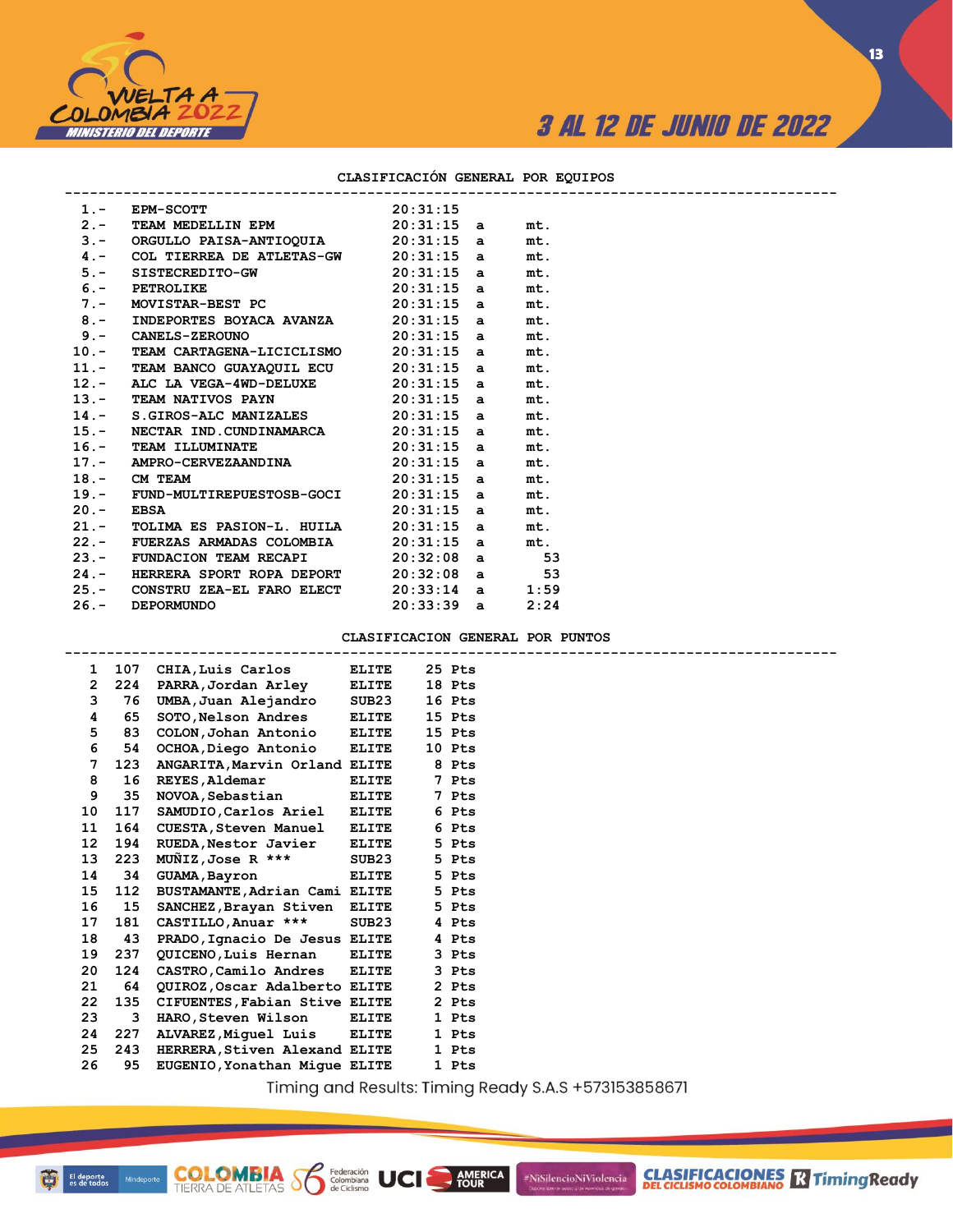

**13**

### **CLASIFICACIÓN GENERAL POR EQUIPOS**

|             | 1.- EPM-SCOTT 20:31:15<br>2.- TEAM_MEDELLIN_EPM 20:31:15 a |                   | mt.  |
|-------------|------------------------------------------------------------|-------------------|------|
|             | 3.- ORGULLO PAISA-ANTIOQUIA 20:31:15 a                     |                   | mt.  |
|             | 4.- COL TIERREA DE ATLETAS-GW $20:31:15$ a                 |                   | mt.  |
|             | 5.- SISTECREDITO-GW 20:31:15 a                             |                   | mt.  |
|             | 6.- PETROLIKE 20:31:15 a                                   |                   | mt.  |
|             | $7.$ - MOVISTAR-BEST PC $20:31:15$ a                       |                   | mt.  |
|             | 8.- INDEPORTES BOYACA AVANZA 20:31:15 a                    |                   | mt.  |
|             | $9. -$ CANELS-ZEROUNO 20:31:15 a                           |                   | mt.  |
|             | 10.- TEAM CARTAGENA-LICICLISMO 20:31:15 a                  |                   | mt.  |
|             | 11.- TEAM BANCO GUAYAQUIL ECU 20:31:15 a                   |                   | mt.  |
|             | 12.- ALC LA VEGA-4WD-DELUXE $20:31:15$ a                   |                   | mt.  |
|             | 13.- TEAM NATIVOS PAYN 20:31:15 a                          |                   | mt.  |
|             | 14.- S.GIROS-ALC MANIZALES $20:31:15$ a                    |                   | mt.  |
|             | 15.- NECTAR IND.CUNDINAMARCA 20:31:15 a                    |                   | mt.  |
|             | $16.$ - TEAM ILLUMINATE 20:31:15 a                         |                   | mt.  |
|             | 17.- AMPRO-CERVEZAANDINA 20:31:15 a                        |                   | mt.  |
|             | $20:31:15$ a<br>18.- CM TEAM                               |                   | mt.  |
|             | 19.- FUND-MULTIREPUESTOSB-GOCI 20:31:15 a                  |                   | mt.  |
| $20 -$ EBSA | $20:31:15$ a                                               |                   | mt.  |
|             | $21.$ - TOLIMA ES PASION-L. HUILA $20:31:15$ a             |                   | mt.  |
|             | 22.- FUERZAS ARMADAS COLOMBIA                              | $20:31:15$ a      | mt.  |
|             | 23.- FUNDACION TEAM RECAPI 20:32:08 a 53                   |                   |      |
|             | 24.- HERRERA SPORT ROPA DEPORT 20:32:08 a 53               |                   |      |
|             | 25.- CONSTRU ZEA-EL FARO ELECT                             | $20:33:14$ a 1:59 |      |
|             | 26. - DEPORMUNDO                                           | $20:33:39$ a      | 2:24 |
|             |                                                            |                   |      |

#### **CLASIFICACION GENERAL POR PUNTOS**

|    | $\mathbf{1}$ | 107 CHIA, Luis Carlos         | ELITE        | 25 Pts |  |
|----|--------------|-------------------------------|--------------|--------|--|
|    | $\mathbf{2}$ | 224 PARRA, Jordan Arley       | ELITE        | 18 Pts |  |
|    | 3<br>76      | UMBA, Juan Alejandro          | SUB23        | 16 Pts |  |
|    | 4<br>65      | SOTO, Nelson Andres           | <b>ELITE</b> | 15 Pts |  |
|    | 5<br>83      | COLON, Johan Antonio ELITE    |              | 15 Pts |  |
|    | 6<br>54      | OCHOA, Diego Antonio          | <b>ELITE</b> | 10 Pts |  |
|    | 7<br>123     | ANGARITA, Marvin Orland ELITE |              | 8 Pts  |  |
|    | 8<br>16      | REYES, Aldemar                | <b>ELITE</b> | 7 Pts  |  |
|    | 9<br>35      | NOVOA, Sebastian              | <b>ELITE</b> | 7 Pts  |  |
| 10 | 117          | SAMUDIO, Carlos Ariel         | <b>ELITE</b> | 6 Pts  |  |
| 11 | 164          | <b>CUESTA, Steven Manuel</b>  | <b>ELITE</b> | 6 Pts  |  |
| 12 | 194          | RUEDA.Nestor Javier ELITE     |              | 5 Pts  |  |
| 13 | 223          | MUÑIZ,Jose R ***              | SUB23        | 5 Pts  |  |
| 14 | 34           | GUAMA, Bayron                 | <b>ELITE</b> | 5 Pts  |  |
| 15 | 112          | BUSTAMANTE, Adrian Cami ELITE |              | 5 Pts  |  |
| 16 | 15           | SANCHEZ, Brayan Stiven ELITE  |              | 5 Pts  |  |
| 17 | 181          | CASTILLO, Anuar ***           | SUB23        | 4 Pts  |  |
| 18 | 43           | PRADO, Ignacio De Jesus ELITE |              | 4 Pts  |  |
| 19 | 237          | QUICENO, Luis Hernan          | <b>ELITE</b> | 3 Pts  |  |
| 20 | 124          | CASTRO, Camilo Andres ELITE   |              | 3 Pts  |  |
| 21 | 64           | QUIROZ, Oscar Adalberto ELITE |              | 2 Pts  |  |
| 22 | 135          | CIFUENTES, Fabian Stive ELITE |              | 2 Pts  |  |
| 23 | 3            | HARO,Steven Wilson            | <b>ELITE</b> | 1 Pts  |  |
| 24 | 227          | ALVAREZ, Miquel Luis ELITE    |              | 1 Pts  |  |
| 25 | 243          | HERRERA, Stiven Alexand ELITE |              | 1 Pts  |  |
| 26 | 95           | EUGENIO, Yonathan Mique ELITE |              | 1 Pts  |  |
|    |              |                               |              |        |  |

**COLOMBIA**<br>TIERRA DE ATLETAS **S** de Ciclismo

Timing and Results: Timing Ready S.A.S +573153858671

**AMERICA**<br>TOUR

#NiSilencioNiViolencia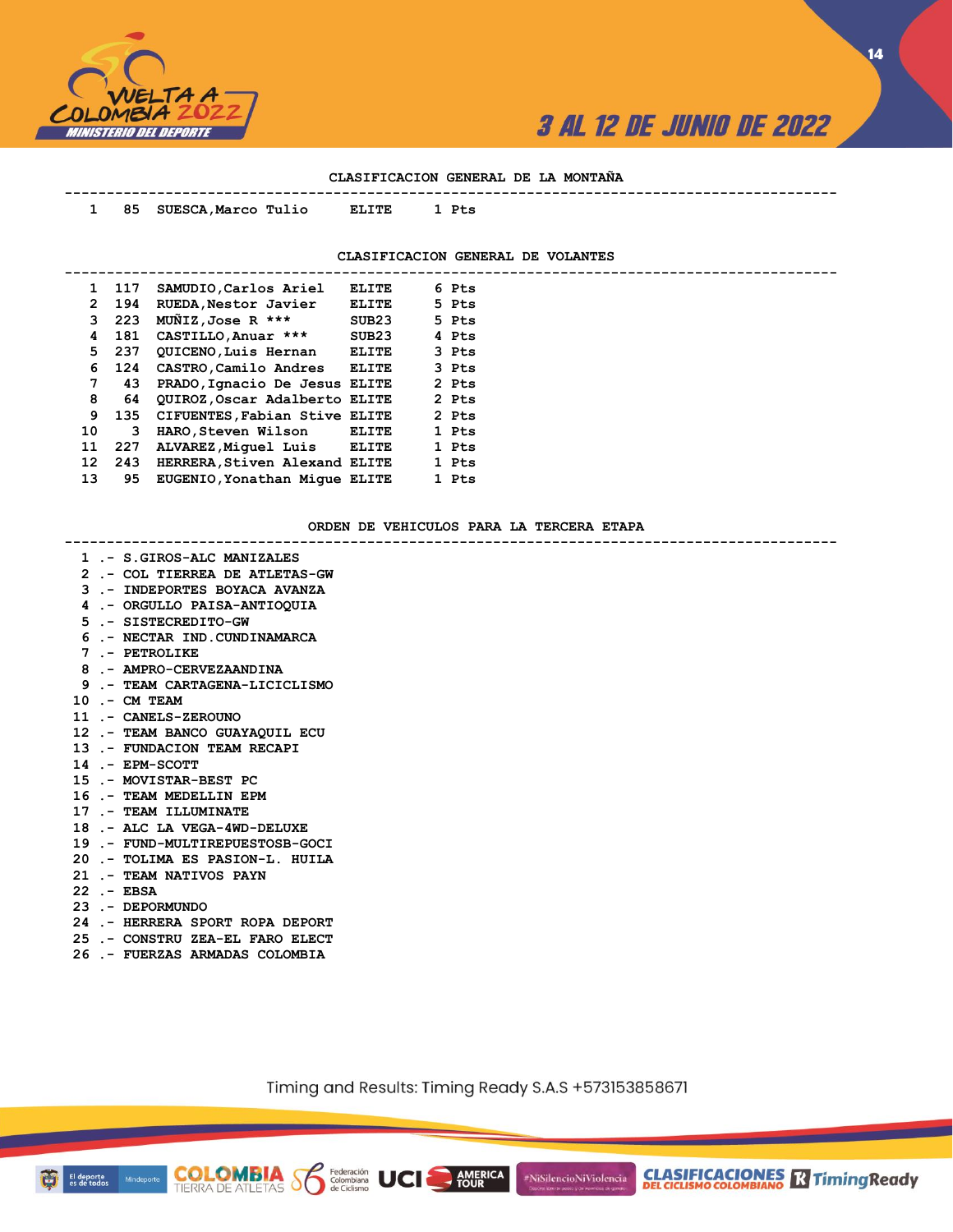

**14**

## **CLASIFICACION GENERAL DE LA MONTAÑA**

| 1  | 85    | SUESCA, Marco Tulio   | ELITE             | 1 Pts                             |
|----|-------|-----------------------|-------------------|-----------------------------------|
|    |       |                       |                   | CLASIFICACION GENERAL DE VOLANTES |
|    | 1 117 | SAMUDIO, Carlos Ariel | ELITE             | 6 Pts                             |
| 2  | 194   | RUEDA, Nestor Javier  | ELITE             | 5 Pts                             |
| 3  | 223   | MUNIZ, Jose R ***     | SUB23             | 5 Pts                             |
| 4  | 181   | CASTILLO, Anuar ***   | SUB <sub>23</sub> | 4 Pts                             |
| 5  | -237  | QUICENO, Luis Hernan  | <b>ELITE</b>      | 3 Pts                             |
| 6. | 124   | CASTRO.Camilo Andres  | <b>ELITE</b>      | 3 Pts                             |

| 4  | 181 | CASTILLO, Anuar ***           | SUB <sub>23</sub> | 4 Pts |
|----|-----|-------------------------------|-------------------|-------|
| 5  | 237 | QUICENO, Luis Hernan          | <b>ELITE</b>      | 3 Pts |
| 6  | 124 | CASTRO, Camilo Andres         | <b>ELITE</b>      | 3 Pts |
| 7  | 43  | PRADO, Ignacio De Jesus ELITE |                   | 2 Pts |
| 8  | 64  | QUIROZ, Oscar Adalberto ELITE |                   | 2 Pts |
| 9  | 135 | CIFUENTES, Fabian Stive ELITE |                   | 2 Pts |
| 10 | 3   | HARO, Steven Wilson ELITE     |                   | 1 Pts |
| 11 | 227 | ALVAREZ, Miquel Luis          | <b>ELITE</b>      | 1 Pts |
| 12 | 243 | HERRERA, Stiven Alexand ELITE |                   | 1 Pts |
| 13 | 95  | EUGENIO, Yonathan Mique ELITE |                   | 1 Pts |

#### **ORDEN DE VEHICULOS PARA LA TERCERA ETAPA**

**--------------------------------------------------------------------------------------------**

 **1 .- S.GIROS-ALC MANIZALES 2 .- COL TIERREA DE ATLETAS-GW**

- **3 .- INDEPORTES BOYACA AVANZA**
- **4 .- ORGULLO PAISA-ANTIOQUIA**
- **5 .- SISTECREDITO-GW**
- **6 .- NECTAR IND.CUNDINAMARCA**
- **7 .- PETROLIKE**
- **8 .- AMPRO-CERVEZAANDINA**
- **9 .- TEAM CARTAGENA-LICICLISMO**
- **10 .- CM TEAM**
- **11 .- CANELS-ZEROUNO**
- **12 .- TEAM BANCO GUAYAQUIL ECU**
- **13 .- FUNDACION TEAM RECAPI**
- **14 .- EPM-SCOTT**
- **15 .- MOVISTAR-BEST PC**
- **16 .- TEAM MEDELLIN EPM**
- **17 .- TEAM ILLUMINATE**
- **18 .- ALC LA VEGA-4WD-DELUXE**
- **19 .- FUND-MULTIREPUESTOSB-GOCI**
- **20 .- TOLIMA ES PASION-L. HUILA**
- **21 .- TEAM NATIVOS PAYN**
- **22 .- EBSA**
- **23 .- DEPORMUNDO**
- **24 .- HERRERA SPORT ROPA DEPORT**
- **25 .- CONSTRU ZEA-EL FARO ELECT**
- **26 .- FUERZAS ARMADAS COLOMBIA**

**COLOMBIA Solutions UCI** 

Timing and Results: Timing Ready S.A.S +573153858671

AMERICA

#NiSilencioNiViolencia



**CLASIFICACIONES M**TimingReady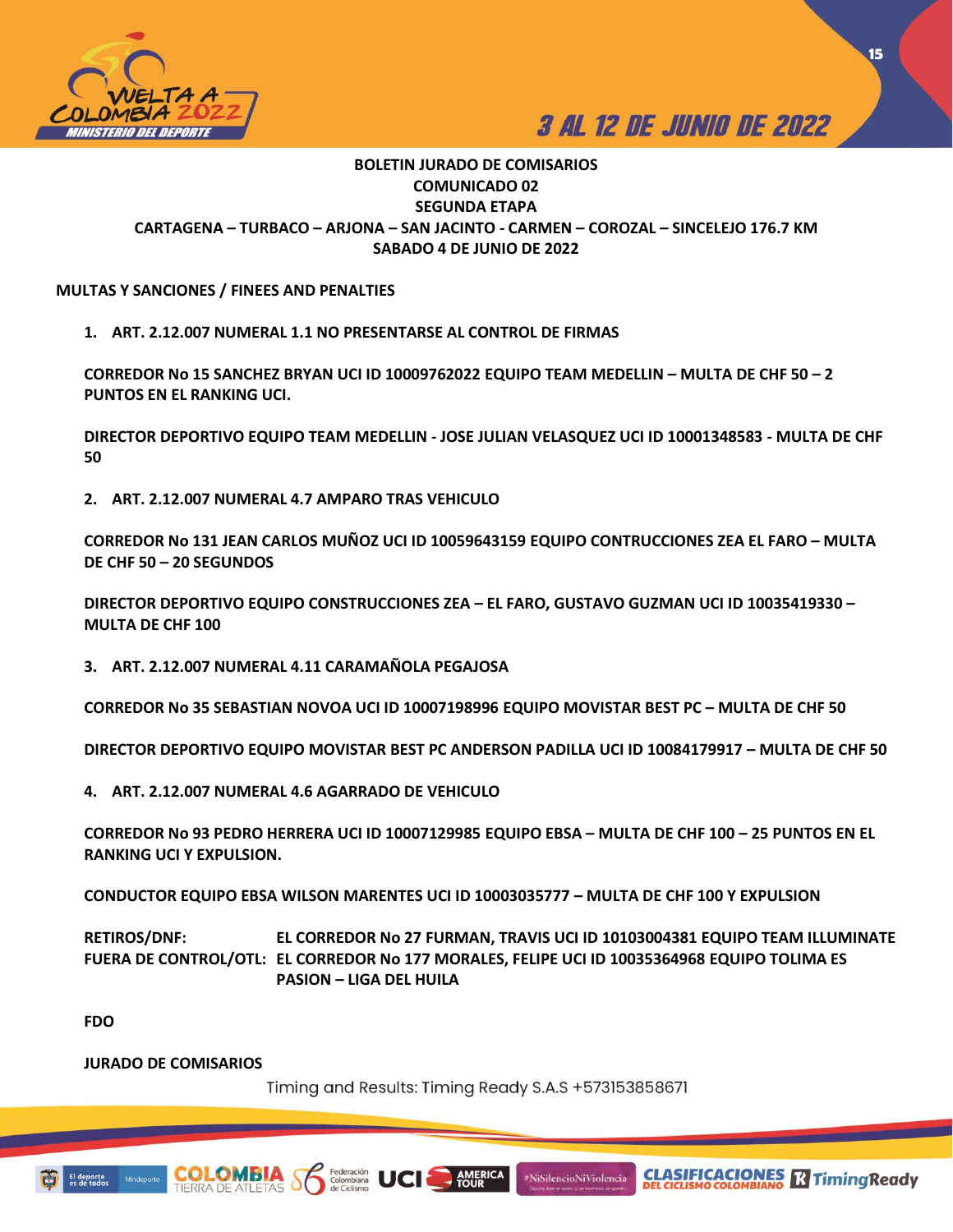



**15**

## **BOLETIN JURADO DE COMISARIOS COMUNICADO 02 SEGUNDA ETAPA CARTAGENA – TURBACO – ARJONA – SAN JACINTO - CARMEN – COROZAL – SINCELEJO 176.7 KM SABADO 4 DE JUNIO DE 2022**

## **MULTAS Y SANCIONES / FINEES AND PENALTIES**

**1. ART. 2.12.007 NUMERAL 1.1 NO PRESENTARSE AL CONTROL DE FIRMAS** 

**CORREDOR No 15 SANCHEZ BRYAN UCI ID 10009762022 EQUIPO TEAM MEDELLIN – MULTA DE CHF 50 – 2 PUNTOS EN EL RANKING UCI.**

**DIRECTOR DEPORTIVO EQUIPO TEAM MEDELLIN - JOSE JULIAN VELASQUEZ UCI ID 10001348583 - MULTA DE CHF 50**

**2. ART. 2.12.007 NUMERAL 4.7 AMPARO TRAS VEHICULO**

**CORREDOR No 131 JEAN CARLOS MUÑOZ UCI ID 10059643159 EQUIPO CONTRUCCIONES ZEA EL FARO – MULTA DE CHF 50 – 20 SEGUNDOS** 

**DIRECTOR DEPORTIVO EQUIPO CONSTRUCCIONES ZEA – EL FARO, GUSTAVO GUZMAN UCI ID 10035419330 – MULTA DE CHF 100**

**3. ART. 2.12.007 NUMERAL 4.11 CARAMAÑOLA PEGAJOSA** 

**CORREDOR No 35 SEBASTIAN NOVOA UCI ID 10007198996 EQUIPO MOVISTAR BEST PC – MULTA DE CHF 50**

**DIRECTOR DEPORTIVO EQUIPO MOVISTAR BEST PC ANDERSON PADILLA UCI ID 10084179917 – MULTA DE CHF 50**

**4. ART. 2.12.007 NUMERAL 4.6 AGARRADO DE VEHICULO** 

**CORREDOR No 93 PEDRO HERRERA UCI ID 10007129985 EQUIPO EBSA – MULTA DE CHF 100 – 25 PUNTOS EN EL RANKING UCI Y EXPULSION.** 

**CONDUCTOR EQUIPO EBSA WILSON MARENTES UCI ID 10003035777 – MULTA DE CHF 100 Y EXPULSION**

**RETIROS/DNF: EL CORREDOR No 27 FURMAN, TRAVIS UCI ID 10103004381 EQUIPO TEAM ILLUMINATE FUERA DE CONTROL/OTL: EL CORREDOR No 177 MORALES, FELIPE UCI ID 10035364968 EQUIPO TOLIMA ES PASION – LIGA DEL HUILA**

**FDO** 

**JURADO DE COMISARIOS**

Timing and Results: Timing Ready S.A.S +573153858671

 $\frac{1}{2}$  AMERICA

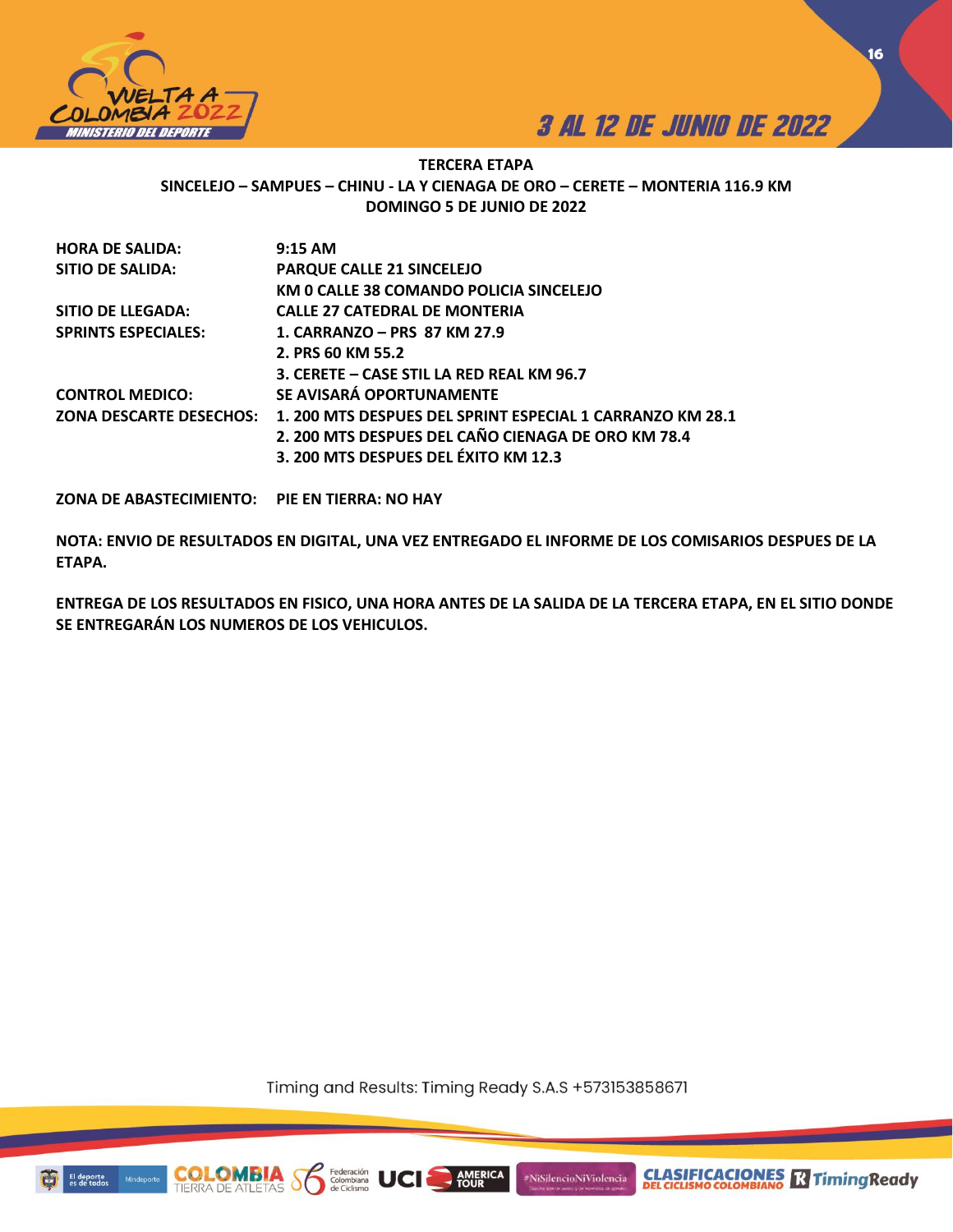



**16**

## **TERCERA ETAPA SINCELEJO – SAMPUES – CHINU - LA Y CIENAGA DE ORO – CERETE – MONTERIA 116.9 KM DOMINGO 5 DE JUNIO DE 2022**

| <b>HORA DE SALIDA:</b>     | 9:15 AM                                                                           |
|----------------------------|-----------------------------------------------------------------------------------|
| SITIO DE SALIDA:           | <b>PARQUE CALLE 21 SINCELEJO</b>                                                  |
|                            | KM 0 CALLE 38 COMANDO POLICIA SINCELEJO                                           |
| SITIO DE LLEGADA:          | <b>CALLE 27 CATEDRAL DE MONTERIA</b>                                              |
| <b>SPRINTS ESPECIALES:</b> | 1. CARRANZO – PRS 87 KM 27.9                                                      |
|                            | 2. PRS 60 KM 55.2                                                                 |
|                            | 3. CERETE – CASE STIL LA RED REAL KM 96.7                                         |
| <b>CONTROL MEDICO:</b>     | SE AVISARÁ OPORTUNAMENTE                                                          |
|                            | ZONA DESCARTE DESECHOS: 1. 200 MTS DESPUES DEL SPRINT ESPECIAL 1 CARRANZO KM 28.1 |
|                            | 2. 200 MTS DESPUES DEL CAÑO CIENAGA DE ORO KM 78.4                                |
|                            | 3. 200 MTS DESPUES DEL ÉXITO KM 12.3                                              |

**ZONA DE ABASTECIMIENTO: PIE EN TIERRA: NO HAY**

**NOTA: ENVIO DE RESULTADOS EN DIGITAL, UNA VEZ ENTREGADO EL INFORME DE LOS COMISARIOS DESPUES DE LA ETAPA.** 

**ENTREGA DE LOS RESULTADOS EN FISICO, UNA HORA ANTES DE LA SALIDA DE LA TERCERA ETAPA, EN EL SITIO DONDE SE ENTREGARÁN LOS NUMEROS DE LOS VEHICULOS.** 

Timing and Results: Timing Ready S.A.S +573153858671

AMERICA

#NiSilencioNiViolencia

Federación<br>Colombiana



COI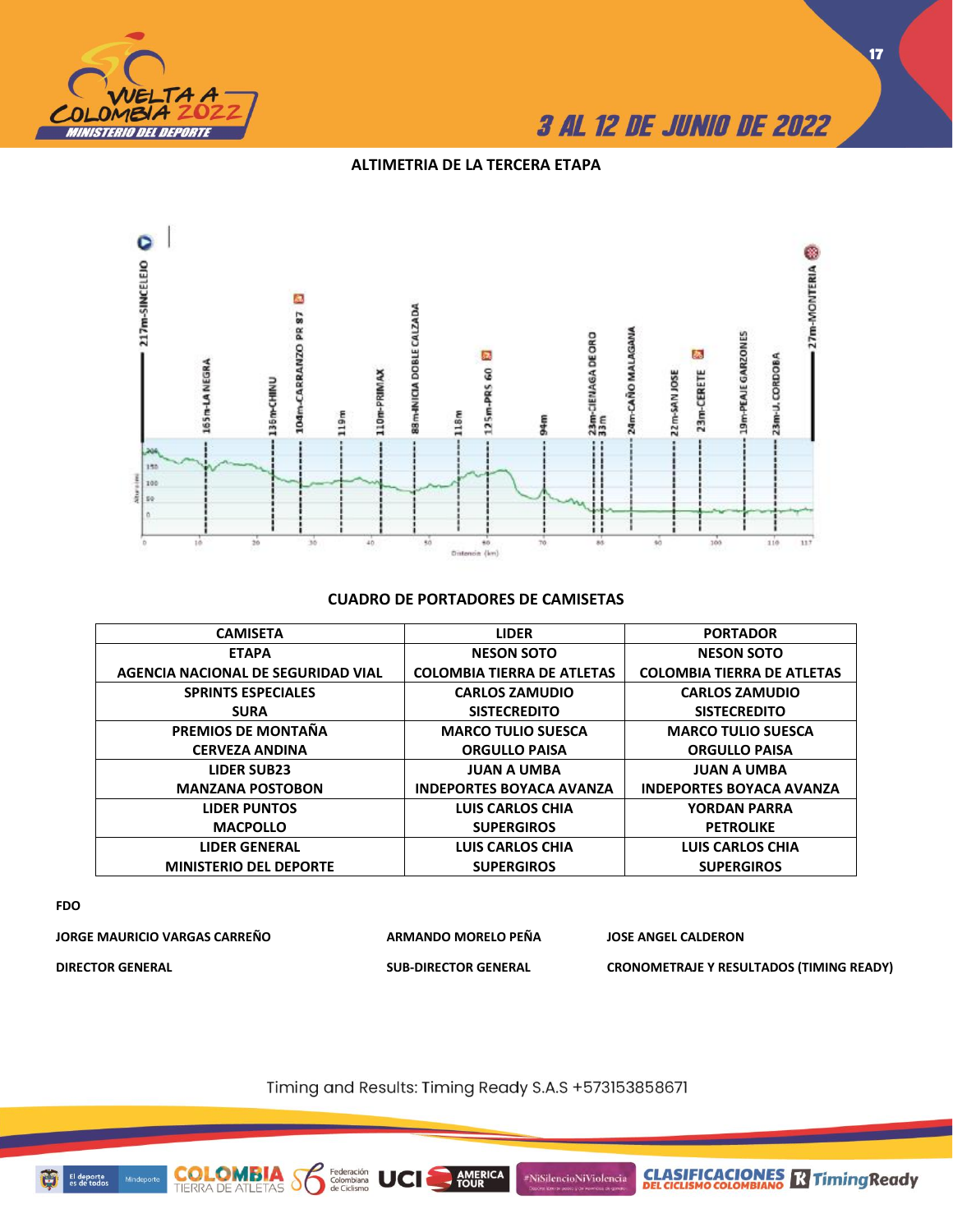

## **ALTIMETRIA DE LA TERCERA ETAPA**



## **CUADRO DE PORTADORES DE CAMISETAS**

| <b>CAMISETA</b>                    | <b>LIDER</b>                      | <b>PORTADOR</b>                   |
|------------------------------------|-----------------------------------|-----------------------------------|
| <b>ETAPA</b>                       | <b>NESON SOTO</b>                 | <b>NESON SOTO</b>                 |
| AGENCIA NACIONAL DE SEGURIDAD VIAL | <b>COLOMBIA TIERRA DE ATLETAS</b> | <b>COLOMBIA TIERRA DE ATLETAS</b> |
| <b>SPRINTS ESPECIALES</b>          | <b>CARLOS ZAMUDIO</b>             | <b>CARLOS ZAMUDIO</b>             |
| <b>SURA</b>                        | <b>SISTECREDITO</b>               | <b>SISTECREDITO</b>               |
| PREMIOS DE MONTAÑA                 | <b>MARCO TULIO SUESCA</b>         | <b>MARCO TULIO SUESCA</b>         |
| <b>CERVEZA ANDINA</b>              | <b>ORGULLO PAISA</b>              | <b>ORGULLO PAISA</b>              |
| <b>LIDER SUB23</b>                 | <b>JUAN A UMBA</b>                | <b>JUAN A UMBA</b>                |
| <b>MANZANA POSTOBON</b>            | <b>INDEPORTES BOYACA AVANZA</b>   | <b>INDEPORTES BOYACA AVANZA</b>   |
| <b>LIDER PUNTOS</b>                | <b>LUIS CARLOS CHIA</b>           | <b>YORDAN PARRA</b>               |
| <b>MACPOLLO</b>                    | <b>SUPERGIROS</b>                 | <b>PETROLIKE</b>                  |
| <b>LIDER GENERAL</b>               | <b>LUIS CARLOS CHIA</b>           | <b>LUIS CARLOS CHIA</b>           |
| <b>MINISTERIO DEL DEPORTE</b>      | <b>SUPERGIROS</b>                 | <b>SUPERGIROS</b>                 |

## **FDO**

| JORGE MAURICIO VARGAS CARREÑO | ARMANDO MORELO PEÑA         | <b>JOSE ANGEL CALDERON</b>                      |
|-------------------------------|-----------------------------|-------------------------------------------------|
| <b>DIRECTOR GENERAL</b>       | <b>SUB-DIRECTOR GENERAL</b> | <b>CRONOMETRAJE Y RESULTADOS (TIMING READY)</b> |

Timing and Results: Timing Ready S.A.S +573153858671

AMERICA

#NiSilencioNiViolencia

Federación<br>Colombiana<br>de Ciclismo

UCI

 $\delta$ 

**COLOMBIA**<br>TIERRA DE ATLETAS



**CLASIFICACIONES R** Timing Ready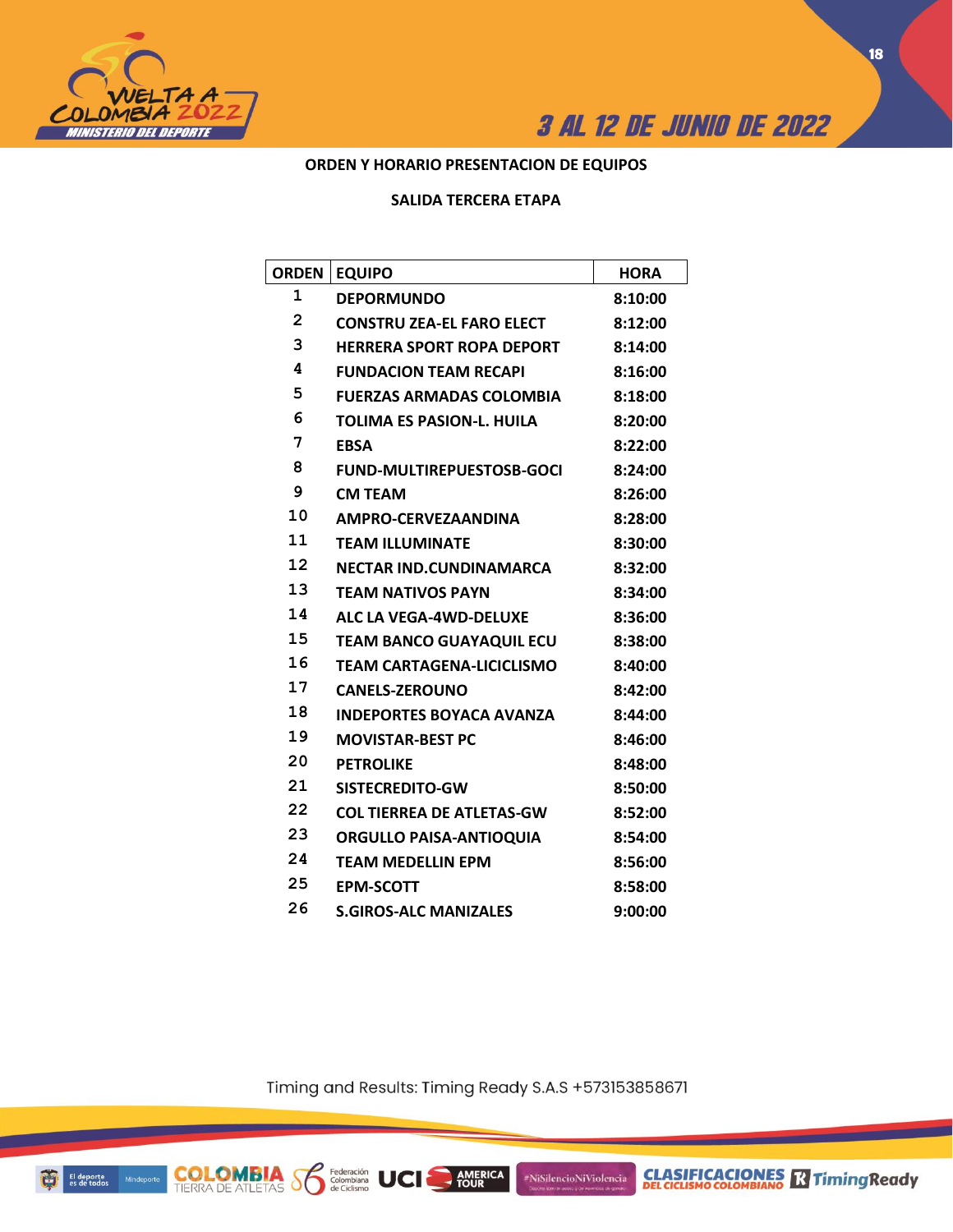



## **ORDEN Y HORARIO PRESENTACION DE EQUIPOS**

## **SALIDA TERCERA ETAPA**

| ORDEN          | <b>EQUIPO</b>                    | <b>HORA</b> |
|----------------|----------------------------------|-------------|
| 1              | <b>DEPORMUNDO</b>                | 8:10:00     |
| $\overline{2}$ | <b>CONSTRU ZEA-EL FARO ELECT</b> | 8:12:00     |
| 3              | <b>HERRERA SPORT ROPA DEPORT</b> | 8:14:00     |
| 4              | <b>FUNDACION TEAM RECAPI</b>     | 8:16:00     |
| 5              | <b>FUERZAS ARMADAS COLOMBIA</b>  | 8:18:00     |
| 6              | <b>TOLIMA ES PASION-L. HUILA</b> | 8:20:00     |
| 7              | <b>EBSA</b>                      | 8:22:00     |
| 8              | <b>FUND-MULTIREPUESTOSB-GOCI</b> | 8:24:00     |
| 9              | <b>CM TEAM</b>                   | 8:26:00     |
| 10             | AMPRO-CERVEZAANDINA              | 8:28:00     |
| 11             | <b>TEAM ILLUMINATE</b>           | 8:30:00     |
| 12             | <b>NECTAR IND.CUNDINAMARCA</b>   | 8:32:00     |
| 13             | <b>TEAM NATIVOS PAYN</b>         | 8:34:00     |
| 14             | <b>ALC LA VEGA-4WD-DELUXE</b>    | 8:36:00     |
| 15             | <b>TEAM BANCO GUAYAQUIL ECU</b>  | 8:38:00     |
| 16             | <b>TEAM CARTAGENA-LICICLISMO</b> | 8:40:00     |
| 17             | <b>CANELS-ZEROUNO</b>            | 8:42:00     |
| 18             | <b>INDEPORTES BOYACA AVANZA</b>  | 8:44:00     |
| 19             | <b>MOVISTAR-BEST PC</b>          | 8:46:00     |
| 20             | <b>PETROLIKE</b>                 | 8:48:00     |
| 21             | SISTECREDITO-GW                  | 8:50:00     |
| 22             | <b>COL TIERREA DE ATLETAS-GW</b> | 8:52:00     |
| 23             | <b>ORGULLO PAISA-ANTIOQUIA</b>   | 8:54:00     |
| 24             | <b>TEAM MEDELLIN EPM</b>         | 8:56:00     |
| 25             | <b>EPM-SCOTT</b>                 | 8:58:00     |
| 26             | <b>S.GIROS-ALC MANIZALES</b>     | 9:00:00     |

Timing and Results: Timing Ready S.A.S +573153858671

AMERICA

#NiSilencioNiViolencia

Federación<br>Colombiana<br>de Ciclismo

**UCI** 

**COLOMBIA S**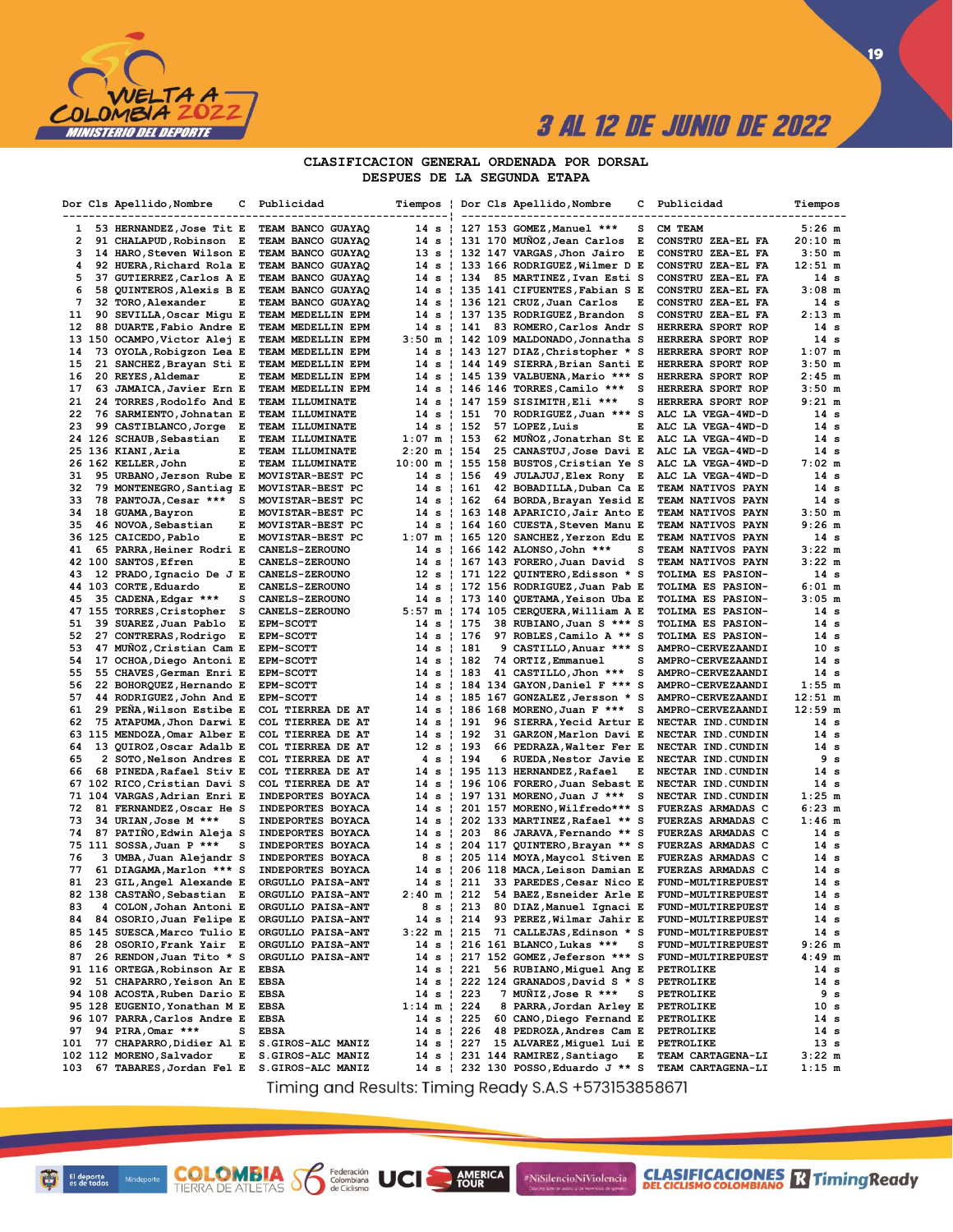

 $\overline{19}$ 

### CLASIFICACION GENERAL ORDENADA POR DORSAL DESPUES DE LA SEGUNDA ETAPA

|              | Dor Cls Apellido, Nombre                             | с | Publicidad                                  |                        |            |                          | Tiempos   Dor Cls Apellido,Nombre<br>-------------------                    | c | Publicidad                                    | Tiempos              |
|--------------|------------------------------------------------------|---|---------------------------------------------|------------------------|------------|--------------------------|-----------------------------------------------------------------------------|---|-----------------------------------------------|----------------------|
| $\mathbf{1}$ | 53 HERNANDEZ, Jose Tit E                             |   | TEAM BANCO GUAYAQ                           |                        |            |                          | 14 s   127 153 GOMEZ, Manuel ***                                            | s | CM TEAM                                       | $5:26$ m             |
| 2            | 91 CHALAPUD, Robinson E                              |   | TEAM BANCO GUAYAQ                           |                        |            |                          | 14 s   131 170 MUÑOZ, Jean Carlos                                           | Е | CONSTRU ZEA-EL FA                             | 20:10 m              |
| 3            | 14 HARO, Steven Wilson E                             |   | TEAM BANCO GUAYAQ                           |                        |            |                          | 13 s   132 147 VARGAS, Jhon Jairo                                           | Е | CONSTRU ZEA-EL FA                             | $3:50$ m             |
| 4            | 92 HUERA, Richard Rola E                             |   | TEAM BANCO GUAYAQ                           |                        |            |                          | 14 s   133 166 RODRIGUEZ, Wilmer D                                          | Е | CONSTRU ZEA-EL FA                             | $12:51 \text{ m}$    |
| 5            | 37 GUTIERREZ, Carlos A E                             |   | TEAM BANCO GUAYAQ                           |                        |            | 14 s   134               | 85 MARTINEZ, Ivan Esti S                                                    |   | CONSTRU ZEA-EL FA                             | 14 s                 |
| 6            | 58 QUINTEROS, Alexis B E                             |   | TEAM BANCO GUAYAQ                           |                        |            |                          | 14 s   135 141 CIFUENTES, Fabian S E                                        |   | CONSTRU ZEA-EL FA                             | $3:08$ m             |
| 7            | 32 TORO, Alexander                                   | Е | TEAM BANCO GUAYAQ                           |                        |            |                          | 14 s   136 121 CRUZ, Juan Carlos                                            | E | CONSTRU ZEA-EL FA                             | 14 s                 |
| 11           | 90 SEVILLA, Oscar Migu E                             |   | TEAM MEDELLIN EPM                           |                        |            |                          | 14 s   137 135 RODRIGUEZ,Brandon                                            | s | CONSTRU ZEA-EL FA                             | $2:13$ m             |
| 12           | 88 DUARTE, Fabio Andre E                             |   | TEAM MEDELLIN EPM                           |                        |            | 14 s   141               | 83 ROMERO, Carlos Andr S                                                    |   | HERRERA SPORT ROP                             | 14 s                 |
|              | 13 150 OCAMPO, Victor Alej E                         |   | TEAM MEDELLIN EPM                           |                        |            |                          | 3:50 m   142 109 MALDONADO, Jonnatha S                                      |   | HERRERA SPORT ROP                             | 14 s                 |
| 14           | 73 OYOLA, Robigzon Lea E                             |   | TEAM MEDELLIN EPM                           |                        |            |                          | 14 s   143 127 DIAZ, Christopher * S                                        |   | HERRERA SPORT ROP                             | $1:07$ m             |
| 15           | 21 SANCHEZ, Brayan Sti E                             |   | TEAM MEDELLIN EPM                           |                        |            |                          | 14 s   144 149 SIERRA, Brian Santi E                                        |   | HERRERA SPORT ROP                             | $3:50$ m             |
| 16<br>17     | 20 REYES, Aldemar<br>63 JAMAICA, Javier Ern E        | Е | TEAM MEDELLIN EPM                           |                        |            |                          | 14 s   145 139 VALBUENA, Mario *** S                                        | s | HERRERA SPORT ROP                             | $2:45$ m<br>$3:50$ m |
| 21           | 24 TORRES, Rodolfo And E                             |   | TEAM MEDELLIN EPM<br><b>TEAM ILLUMINATE</b> |                        |            |                          | 14 s   146 146 TORRES, Camilo ***<br>14 s   147 159 SISIMITH, Eli ***       | s | HERRERA SPORT ROP<br>HERRERA SPORT ROP        | $9:21 \text{ m}$     |
| 22           | 76 SARMIENTO, Johnatan E                             |   | TEAM ILLUMINATE                             |                        |            | 14 s   151               | 70 RODRIGUEZ, Juan *** S                                                    |   | ALC LA VEGA-4WD-D                             | 14 s                 |
| 23           | 99 CASTIBLANCO, Jorge E                              |   | TEAM ILLUMINATE                             |                        |            | 14 s   152               | 57 LOPEZ, Luis                                                              | Е | ALC LA VEGA-4WD-D                             | 14 s                 |
|              | 24 126 SCHAUB, Sebastian                             | Е | TEAM ILLUMINATE                             | $1:07 \text{ m}$   153 |            |                          | 62 MUNOZ, Jonatrhan St E                                                    |   | ALC LA VEGA-4WD-D                             | 14 s                 |
|              | 25 136 KIANI, Aria                                   | Е | TEAM ILLUMINATE                             | $2:20 \text{ m}$   154 |            |                          | 25 CANASTUJ, Jose Davi E                                                    |   | ALC LA VEGA-4WD-D                             | 14 s                 |
|              | 26 162 KELLER, John                                  | Е | TEAM ILLUMINATE                             |                        |            |                          | 10:00 m   155 158 BUSTOS, Cristian Ye S                                     |   | ALC LA VEGA-4WD-D                             | $7:02$ m             |
| 31           | 95 URBANO, Jerson Rube E                             |   | MOVISTAR-BEST PC                            |                        |            | 14 s   156               | 49 JULAJUJ, Elex Rony E                                                     |   | ALC LA VEGA-4WD-D                             | 14 s                 |
| 32           | 79 MONTENEGRO, Santiag E                             |   | MOVISTAR-BEST PC                            |                        |            | 14 s   161               | 42 BOBADILLA, Duban Ca E                                                    |   | TEAM NATIVOS PAYN                             | 14 s                 |
| 33           | 78 PANTOJA, Cesar ***                                | s | MOVISTAR-BEST PC                            |                        |            | $14 s + 162$             | 64 BORDA, Brayan Yesid E                                                    |   | TEAM NATIVOS PAYN                             | 14 s                 |
| 34           | 18 GUAMA, Bayron                                     | Е | MOVISTAR-BEST PC                            |                        |            |                          | 14 s   163 148 APARICIO, Jair Anto E                                        |   | TEAM NATIVOS PAYN                             | $3:50$ m             |
| 35           | 46 NOVOA, Sebastian                                  | Е | MOVISTAR-BEST PC                            |                        |            |                          | 14 s ¦ 164 160 CUESTA,Steven Manu E                                         |   | TEAM NATIVOS PAYN                             | $9:26$ m             |
|              | 36 125 CAICEDO, Pablo                                | Е | MOVISTAR-BEST PC                            |                        |            |                          | $1:07$ m   165 120 SANCHEZ, Yerzon Edu E                                    |   | TEAM NATIVOS PAYN                             | 14 s                 |
| 41           | 65 PARRA, Heiner Rodri E                             |   | <b>CANELS-ZEROUNO</b>                       |                        |            |                          | 14 s   166 142 ALONSO, John ***                                             | s | TEAM NATIVOS PAYN                             | $3:22 \; m$          |
|              | 42 100 SANTOS, Efren                                 | Е | <b>CANELS-ZEROUNO</b>                       |                        |            |                          | 14 s   167 143 FORERO, Juan David                                           | s | TEAM NATIVOS PAYN                             | $3:22 \; m$          |
| 43           | 12 PRADO, Ignacio De J E                             |   | CANELS-ZEROUNO                              |                        |            |                          | 12 s   171 122 QUINTERO, Edisson * S                                        |   | TOLIMA ES PASION-                             | 14 s                 |
|              | 44 103 CORTE, Eduardo                                | Е | CANELS-ZEROUNO                              |                        |            |                          | 14 s   172 156 RODRIGUEZ, Juan Pab E                                        |   | TOLIMA ES PASION-                             | $6:01$ m             |
| 45           | 35 CADENA, Edgar ***                                 | s | <b>CANELS-ZEROUNO</b>                       |                        |            |                          | 14 s   173 140 QUETAMA, Yeison Uba E                                        |   | TOLIMA ES PASION-                             | $3:05$ m             |
|              | 47 155 TORRES, Cristopher                            | s | CANELS-ZEROUNO                              |                        |            |                          | 5:57 m   174 105 CERQUERA, William A E                                      |   | TOLIMA ES PASION-                             | 14 s                 |
| 51<br>52     | 39 SUAREZ, Juan Pablo                                | Е | <b>EPM-SCOTT</b>                            |                        |            | $14 s$   175             | 38 RUBIANO, Juan S *** S                                                    |   | TOLIMA ES PASION-                             | 14 s                 |
| 53           | 27 CONTRERAS, Rodrigo<br>47 MUNOZ, Cristian Cam E    | Е | <b>EPM-SCOTT</b>                            |                        |            | 14 s   176               | 97 ROBLES, Camilo A ** S                                                    |   | TOLIMA ES PASION-                             | 14 s<br>10 s         |
| 54           | 17 OCHOA, Diego Antoni E                             |   | <b>EPM-SCOTT</b><br><b>EPM-SCOTT</b>        |                        |            | 14 s   181<br>14 s   182 | 9 CASTILLO, Anuar *** S<br>74 ORTIZ, Emmanuel                               | s | AMPRO-CERVEZAANDI<br>AMPRO-CERVEZAANDI        | 14 s                 |
| 55           | 55 CHAVES, German Enri E                             |   | <b>EPM-SCOTT</b>                            |                        |            | $14 s$   183             | 41 CASTILLO, Jhon ***                                                       | s | AMPRO-CERVEZAANDI                             | 14 s                 |
| 56           | 22 BOHORQUEZ, Hernando E                             |   | <b>EPM-SCOTT</b>                            |                        |            |                          | 14 s   184 134 GAYON, Daniel F *** S                                        |   | AMPRO-CERVEZAANDI                             | 1:55 m               |
| 57           | 44 RODRIGUEZ, John And E                             |   | <b>EPM-SCOTT</b>                            |                        |            |                          | 14 s   185 167 GONZALEZ, Jersson * S                                        |   | AMPRO-CERVEZAANDI                             | $12:51 \text{ m}$    |
| 61           | 29 PENA, Wilson Estibe E                             |   | COL TIERREA DE AT                           |                        |            |                          | 14 s   186 168 MORENO, Juan F *** S                                         |   | AMPRO-CERVEZAANDI                             | $12:59$ m            |
| 62           | 75 ATAPUMA, Jhon Darwi E                             |   | COL TIERREA DE AT                           |                        |            | 14 s   191               | 96 SIERRA, Yecid Artur E                                                    |   | NECTAR IND. CUNDIN                            | 14 s                 |
|              | 63 115 MENDOZA, Omar Alber E                         |   | COL TIERREA DE AT                           |                        |            | 14 s   192               | 31 GARZON, Marlon Davi E                                                    |   | NECTAR IND.CUNDIN                             | 14 s                 |
| 64           | 13 QUIROZ, Oscar Adalb E                             |   | COL TIERREA DE AT                           |                        |            | 12 s 193                 | 66 PEDRAZA, Walter Fer E                                                    |   | NECTAR IND. CUNDIN                            | 14 s                 |
| 65           | 2 SOTO, Nelson Andres E                              |   | COL TIERREA DE AT                           |                        |            | 4 s   194                | 6 RUEDA, Nestor Javie E                                                     |   | NECTAR IND. CUNDIN                            | 9 s                  |
| 66           | 68 PINEDA, Rafael Stiv E                             |   | COL TIERREA DE AT                           |                        |            |                          | 14 s   195 113 HERNANDEZ, Rafael                                            | Е | NECTAR IND.CUNDIN                             | 14 s                 |
|              | 67 102 RICO, Cristian Davi S                         |   | COL TIERREA DE AT                           |                        |            |                          | 14 s   196 106 FORERO, Juan Sebast E                                        |   | NECTAR IND.CUNDIN                             | 14 s                 |
|              | 71 104 VARGAS, Adrian Enri E                         |   | INDEPORTES BOYACA                           |                        |            |                          | 14 s   197 131 MORENO, Juan J ***                                           | s | NECTAR IND.CUNDIN                             | $1:25$ m             |
| 72           | 81 FERNANDEZ, Oscar He S                             |   | INDEPORTES BOYACA                           |                        |            |                          | 14 s   201 157 MORENO, Wilfredo*** S                                        |   | FUERZAS ARMADAS C                             | $6:23$ m             |
| 73           | 34 URIAN, Jose M ***                                 | s | INDEPORTES BOYACA                           |                        |            |                          | 14 s   202 133 MARTINEZ, Rafael ** S                                        |   | FUERZAS ARMADAS C                             | $1:46$ m             |
| 74           | 87 PATIÑO, Edwin Aleja S                             |   | INDEPORTES BOYACA                           |                        |            | 14 s   203               | 86 JARAVA, Fernando ** S                                                    |   | <b>FUERZAS ARMADAS C</b>                      | 14 s                 |
|              | 75 111 SOSSA, Juan P ***                             | s | INDEPORTES BOYACA                           |                        |            |                          | 14 s   204 117 QUINTERO, Brayan ** S                                        |   | FUERZAS ARMADAS C                             | 14 s                 |
| 76           | 3 UMBA, Juan Alejandr S                              |   | INDEPORTES BOYACA                           |                        | 8 s<br>-11 |                          | 205 114 MOYA, Maycol Stiven E                                               |   | <b>FUERZAS ARMADAS C</b>                      | 14 s                 |
| 77<br>81     | 61 DIAGAMA, Marlon *** S<br>23 GIL, Angel Alexande E |   | INDEPORTES BOYACA                           |                        |            |                          | 14 s   206 118 MACA, Leison Damian E<br>14 s   211 33 PAREDES, Cesar Nico E |   | <b>FUERZAS ARMADAS C</b><br>FUND-MULTIREPUEST | 14 s<br>14 s         |
|              | 82 138 CASTAÑO, Sebastian E                          |   | ORGULLO PAISA-ANT<br>ORGULLO PAISA-ANT      |                        |            |                          | 2:40 m   212 54 BAEZ, Esneider Arle E                                       |   | FUND-MULTIREPUEST                             | 14 s                 |
| 83           | 4 COLON, Johan Antoni E                              |   | ORGULLO PAISA-ANT                           |                        |            | 8 s   213                | 80 DIAZ, Manuel Ignaci E                                                    |   | FUND-MULTIREPUEST                             | 14 s                 |
| 84.          | 84 OSORIO, Juan Felipe E                             |   | ORGULLO PAISA-ANT                           |                        |            | 14 s   214               | 93 PEREZ, Wilmar Jahir E                                                    |   | FUND-MULTIREPUEST                             | 14 s                 |
|              | 85 145 SUESCA, Marco Tulio E                         |   | ORGULLO PAISA-ANT                           | $3:22 \text{ m}$   215 |            |                          | 71 CALLEJAS, Edinson * S                                                    |   | FUND-MULTIREPUEST                             | 14 s                 |
| 86           | 28 OSORIO, Frank Yair E                              |   | ORGULLO PAISA-ANT                           |                        |            |                          | 14 s   216 161 BLANCO, Lukas ***                                            | s | <b>FUND-MULTIREPUEST</b>                      | $9:26$ m             |
| 87           | 26 RENDON, Juan Tito * S                             |   | ORGULLO PAISA-ANT                           |                        |            |                          | 14 s   217 152 GOMEZ, Jeferson *** S                                        |   | FUND-MULTIREPUEST                             | $4:49 \; m$          |
|              | 91 116 ORTEGA, Robinson Ar E                         |   | <b>EBSA</b>                                 |                        |            | 14 s   221               | 56 RUBIANO, Miguel Ang E                                                    |   | PETROLIKE                                     | 14 s                 |
| 92           | 51 CHAPARRO, Yeison An E                             |   | <b>EBSA</b>                                 |                        |            |                          | 14 s   222 124 GRANADOS, David S * S                                        |   | PETROLIKE                                     | 14 s                 |
|              | 94 108 ACOSTA, Ruben Dario E                         |   | <b>EBSA</b>                                 |                        |            | 14 s   223               | 7 MUÑIZ,Jose R ***                                                          | s | PETROLIKE                                     | 9 <sub>s</sub>       |
|              | 95 128 EUGENIO, Yonathan M E                         |   | <b>EBSA</b>                                 | $1:14 \text{ m}$   224 |            |                          | 8 PARRA, Jordan Arley E                                                     |   | PETROLIKE                                     | 10 s                 |
|              | 96 107 PARRA, Carlos Andre E                         |   | <b>EBSA</b>                                 |                        |            | 14 s   225               | 60 CANO, Diego Fernand E                                                    |   | PETROLIKE                                     | 14 s                 |
| 97           | 94 PIRA, Omar ***                                    | s | <b>EBSA</b>                                 |                        |            | 14 s   226               | 48 PEDROZA, Andres Cam E                                                    |   | PETROLIKE                                     | 14 s                 |
| 101          | 77 CHAPARRO, Didier Al E                             |   | S.GIROS-ALC MANIZ                           |                        |            | 14 s   227               | 15 ALVAREZ, Miguel Lui E                                                    |   | PETROLIKE                                     | 13 s                 |
|              | 102 112 MORENO, Salvador                             | Е | S.GIROS-ALC MANIZ                           |                        |            |                          | 14 s   231 144 RAMIREZ, Santiago                                            | Е | TEAM CARTAGENA-LI                             | $3:22 \; m$          |
| 103          | 67 TABARES, Jordan Fel E S. GIROS-ALC MANIZ          |   |                                             |                        |            |                          | 14 s   232 130 POSSO, Eduardo J ** S                                        |   | TEAM CARTAGENA-LI                             | $1:15$ m             |

Timing and Results: Timing Ready S.A.S +573153858671

AMERICA

**UCI** 

#NiSilencioNiViolencia

ū El deporte<br>es de todos

**COLOMBIA** Solenbiana<br>TIERRA DE ATLETAS SOLENDO de Ciclismo